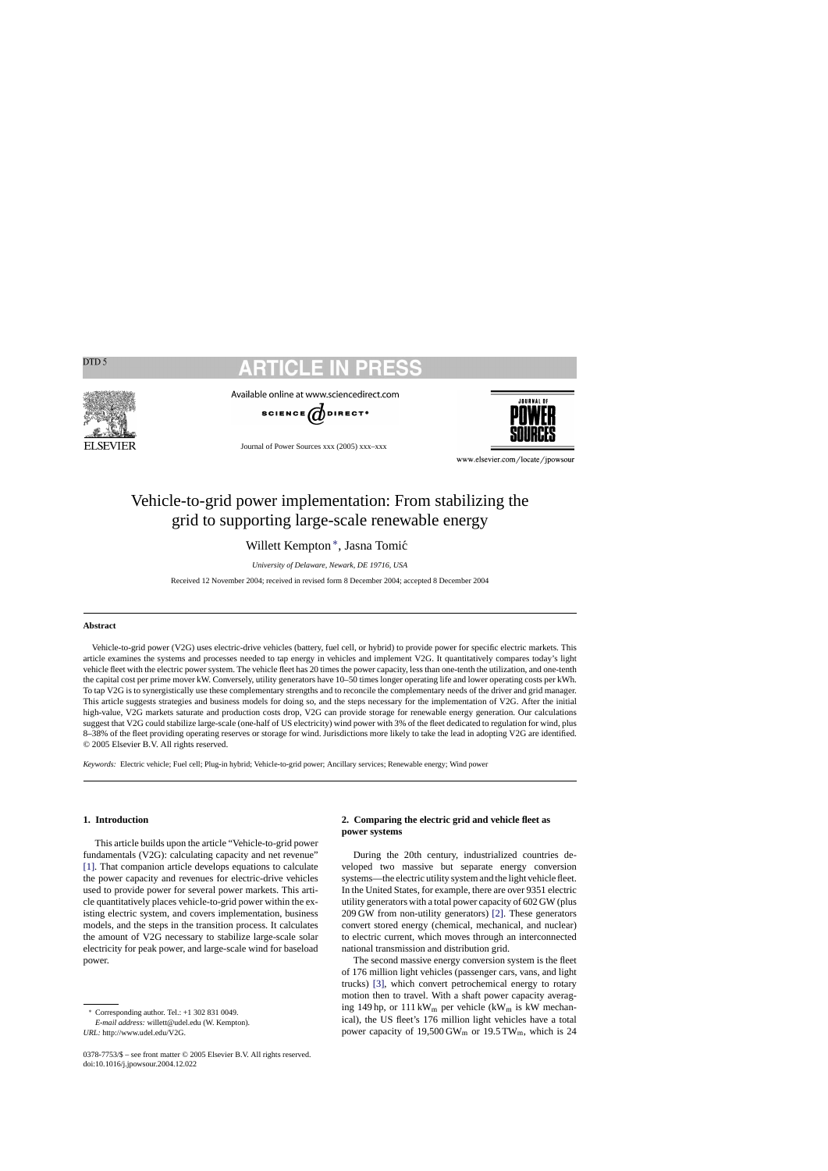**ELSEVIER** 

Available online at www.sciencedirect.com



Journal of Power Sources xxx (2005) xxx–xxx



www.elsevier.com/locate/jpowsour

## Vehicle-to-grid power implementation: From stabilizing the grid to supporting large-scale renewable energy

Willett Kempton<sup>\*</sup>, Jasna Tomić

*University of Delaware, Newark, DE 19716, USA*

Received 12 November 2004; received in revised form 8 December 2004; accepted 8 December 2004

#### **Abstract**

Vehicle-to-grid power (V2G) uses electric-drive vehicles (battery, fuel cell, or hybrid) to provide power for specific electric markets. This article examines the systems and processes needed to tap energy in vehicles and implement V2G. It quantitatively compares today's light vehicle fleet with the electric power system. The vehicle fleet has 20 times the power capacity, less than one-tenth the utilization, and one-tenth the capital cost per prime mover kW. Conversely, utility generators have 10–50 times longer operating life and lower operating costs per kWh. To tap V2G is to synergistically use these complementary strengths and to reconcile the complementary needs of the driver and grid manager. This article suggests strategies and business models for doing so, and the steps necessary for the implementation of V2G. After the initial high-value, V2G markets saturate and production costs drop, V2G can provide storage for renewable energy generation. Our calculations suggest that V2G could stabilize large-scale (one-half of US electricity) wind power with 3% of the fleet dedicated to regulation for wind, plus 8–38% of the fleet providing operating reserves or storage for wind. Jurisdictions more likely to take the lead in adopting V2G are identified. © 2005 Elsevier B.V. All rights reserved.

*Keywords:* Electric vehicle; Fuel cell; Plug-in hybrid; Vehicle-to-grid power; Ancillary services; Renewable energy; Wind power

### **1. Introduction**

This article builds upon the article "Vehicle-to-grid power fundamentals (V2G): calculating capacity and net revenue" [\[1\].](#page-13-0) That companion article develops equations to calculate the power capacity and revenues for electric-drive vehicles used to provide power for several power markets. This article quantitatively places vehicle-to-grid power within the existing electric system, and covers implementation, business models, and the steps in the transition process. It calculates the amount of V2G necessary to stabilize large-scale solar electricity for peak power, and large-scale wind for baseload power.

*E-mail address:* willett@udel.edu (W. Kempton).

## **2. Comparing the electric grid and vehicle fleet as power systems**

During the 20th century, industrialized countries developed two massive but separate energy conversion systems—the electric utility system and the light vehicle fleet. In the United States, for example, there are over 9351 electric utility generators with a total power capacity of 602 GW (plus 209 GW from non-utility generators) [\[2\].](#page-13-0) These generators convert stored energy (chemical, mechanical, and nuclear) to electric current, which moves through an interconnected national transmission and distribution grid.

The second massive energy conversion system is the fleet of 176 million light vehicles (passenger cars, vans, and light trucks) [\[3\],](#page-13-0) which convert petrochemical energy to rotary motion then to travel. With a shaft power capacity averaging 149 hp, or  $111 \text{ kW}_{\text{m}}$  per vehicle (kW<sub>m</sub> is kW mechanical), the US fleet's 176 million light vehicles have a total power capacity of  $19,500$  GW<sub>m</sub> or  $19.5$  TW<sub>m</sub>, which is 24

Corresponding author. Tel.:  $+1$  302 831 0049.

*URL:* http://www.udel.edu/V2G.

<sup>0378-7753/\$ –</sup> see front matter © 2005 Elsevier B.V. All rights reserved. doi:10.1016/j.jpowsour.2004.12.022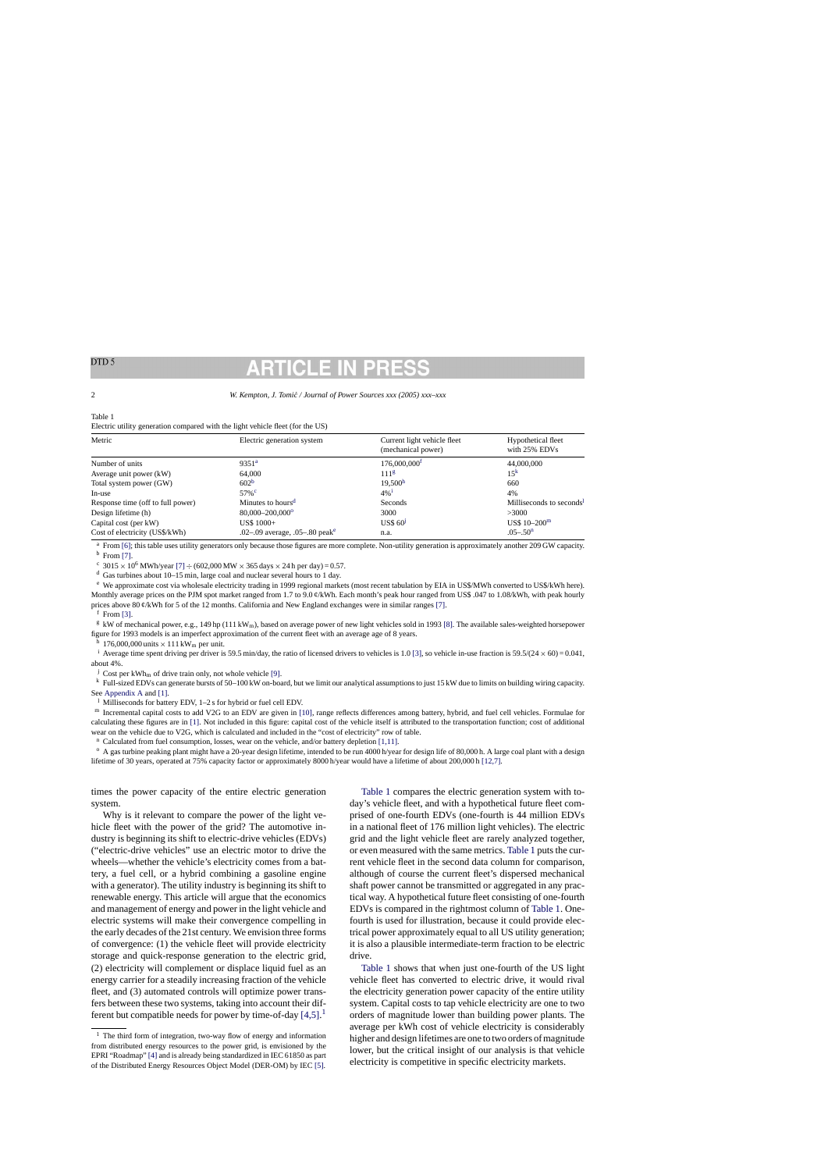<span id="page-1-0"></span>2 *W. Kempton, J. Tomi´c / Journal of Power Sources xxx (2005) xxx–xxx*

Table 1

Electric utility generation compared with the light vehicle fleet (for the US)

| Metric                            | Electric generation system                 | Current light vehicle fleet<br>(mechanical power) | Hypothetical fleet<br>with 25% EDVs  |
|-----------------------------------|--------------------------------------------|---------------------------------------------------|--------------------------------------|
| Number of units                   | $9351^a$                                   | $176,000,000$ <sup>t</sup>                        | 44,000,000                           |
| Average unit power (kW)           | 64,000                                     | 111 <sup>g</sup>                                  | 15 <sup>k</sup>                      |
| Total system power (GW)           | 602 <sup>b</sup>                           | 19.500 <sup>h</sup>                               | 660                                  |
| In-use                            | $57\%$ <sup>c</sup>                        | $4\%$ <sup>1</sup>                                | 4%                                   |
| Response time (off to full power) | Minutes to hours <sup>d</sup>              | Seconds                                           | Milliseconds to seconds <sup>1</sup> |
| Design lifetime (h)               | 80,000-200,000°                            | 3000                                              | >3000                                |
| Capital cost (per kW)             | US\$ 1000+                                 | US\$60 <sup>j</sup>                               | $US$10-200m$                         |
| Cost of electricity (US\$/kWh)    | .02–.09 average, .05–.80 peak <sup>e</sup> | n.a.                                              | $.05-.50n$                           |

<sup>a</sup> From [\[6\]; t](#page-13-0)his table uses utility generators only because those figures are more complete. Non-utility generation is approximately another 209 GW capacity.

<sup>b</sup> From [\[7\].](#page-13-0)

<sup>c</sup> 3015 × 10<sup>6</sup> MWh/year [\[7\]](#page-13-0)  $\div$  (602,000 MW × 365 days × 24 h per day) = 0.57. <sup>d</sup> Gas turbines about 10–15 min, large coal and nuclear several hours to 1 day.

<sup>e</sup> We approximate cost via wholesale electricity trading in 1999 regional markets (most recent tabulation by EIA in US\$/MWh converted to US\$/kWh here). Monthly average prices on the PJM spot market ranged from 1.7 to 9.0 ¢/kWh. Each month's peak hour ranged from US\$ .047 to 1.08/kWh, with peak hourly prices above 80 ¢/kWh for 5 of the 12 months. California and New England exchanges were in similar ranges [\[7\].](#page-13-0)

**From [\[3\].](#page-13-0)** 

<sup>g</sup> kW of mechanical power, e.g., 149 hp (111 kW<sub>m</sub>), based on average power of new light vehicles sold in 1993 [\[8\]. T](#page-13-0)he available sales-weighted horsepower figure for 1993 models is an imperfect approximation of the current fleet with an average age of 8 years.

176,000,000 units  $\times$  111 kW<sub>m</sub> per unit.<br>Average time spent driving per driver is 59.5 min/day, the ratio of licensed drivers to vehicles is 1.0 [\[3\], s](#page-13-0)o vehicle in-use fraction is 59.5/(24  $\times$  60) = 0.041, about 4%.

<sup>j</sup> Cost per kWh<sub>m</sub> of drive train only, not whole vehicle [\[9\].](#page-13-0)<br><sup>k</sup> Full-sized EDVs can generate bursts of 50–100 kW on-board, but we limit our analytical assumptions to just 15 kW due to limits on building wiring capacit See [Appendix A](#page-11-0) and [\[1\].](#page-13-0)

<sup>1</sup> Milliseconds for battery EDV,  $1-2$  s for hybrid or fuel cell EDV.

m Incremental capital costs to add V2G to an EDV are given in [\[10\], r](#page-13-0)ange reflects differences among battery, hybrid, and fuel cell vehicles. Formulae for calculating these figures are in [\[1\]. N](#page-13-0)ot included in this figure: capital cost of the vehicle itself is attributed to the transportation function; cost of additional wear on the vehicle due to V2G, which is calculated and included in the "cost of electricity" row of table.

<sup>n</sup> Calculated from fuel consumption, losses, wear on the vehicle, and/or battery depletion [\[1,11\].](#page-13-0)

 $\degree$  A gas turbine peaking plant might have a 20-year design lifetime, intended to be run 4000 h/year for design life of 80,000 h. A large coal plant with a design lifetime of 30 years, operated at 75% capacity factor or approximately 8000 h/year would have a lifetime of about 200,000 h [\[12,7\].](#page-13-0)

times the power capacity of the entire electric generation system.

Why is it relevant to compare the power of the light vehicle fleet with the power of the grid? The automotive industry is beginning its shift to electric-drive vehicles (EDVs) ("electric-drive vehicles" use an electric motor to drive the wheels—whether the vehicle's electricity comes from a battery, a fuel cell, or a hybrid combining a gasoline engine with a generator). The utility industry is beginning its shift to renewable energy. This article will argue that the economics and management of energy and power in the light vehicle and electric systems will make their convergence compelling in the early decades of the 21st century. We envision three forms of convergence: (1) the vehicle fleet will provide electricity storage and quick-response generation to the electric grid, (2) electricity will complement or displace liquid fuel as an energy carrier for a steadily increasing fraction of the vehicle fleet, and (3) automated controls will optimize power transfers between these two systems, taking into account their dif-ferent but compatible needs for power by time-of-day [\[4,5\].](#page-13-0)<sup>1</sup>

Table 1 compares the electric generation system with today's vehicle fleet, and with a hypothetical future fleet comprised of one-fourth EDVs (one-fourth is 44 million EDVs in a national fleet of 176 million light vehicles). The electric grid and the light vehicle fleet are rarely analyzed together, or even measured with the same metrics. Table 1 puts the current vehicle fleet in the second data column for comparison, although of course the current fleet's dispersed mechanical shaft power cannot be transmitted or aggregated in any practical way. A hypothetical future fleet consisting of one-fourth EDVs is compared in the rightmost column of Table 1. Onefourth is used for illustration, because it could provide electrical power approximately equal to all US utility generation; it is also a plausible intermediate-term fraction to be electric drive.

Table 1 shows that when just one-fourth of the US light vehicle fleet has converted to electric drive, it would rival the electricity generation power capacity of the entire utility system. Capital costs to tap vehicle electricity are one to two orders of magnitude lower than building power plants. The average per kWh cost of vehicle electricity is considerably higher and design lifetimes are one to two orders of magnitude lower, but the critical insight of our analysis is that vehicle electricity is competitive in specific electricity markets.

 $1$ . The third form of integration, two-way flow of energy and information from distributed energy resources to the power grid, is envisioned by the EPRI "Roadmap" [\[4\]](#page-13-0) and is already being standardized in IEC 61850 as part of the Distributed Energy Resources Object Model (DER-OM) by IEC [\[5\].](#page-13-0)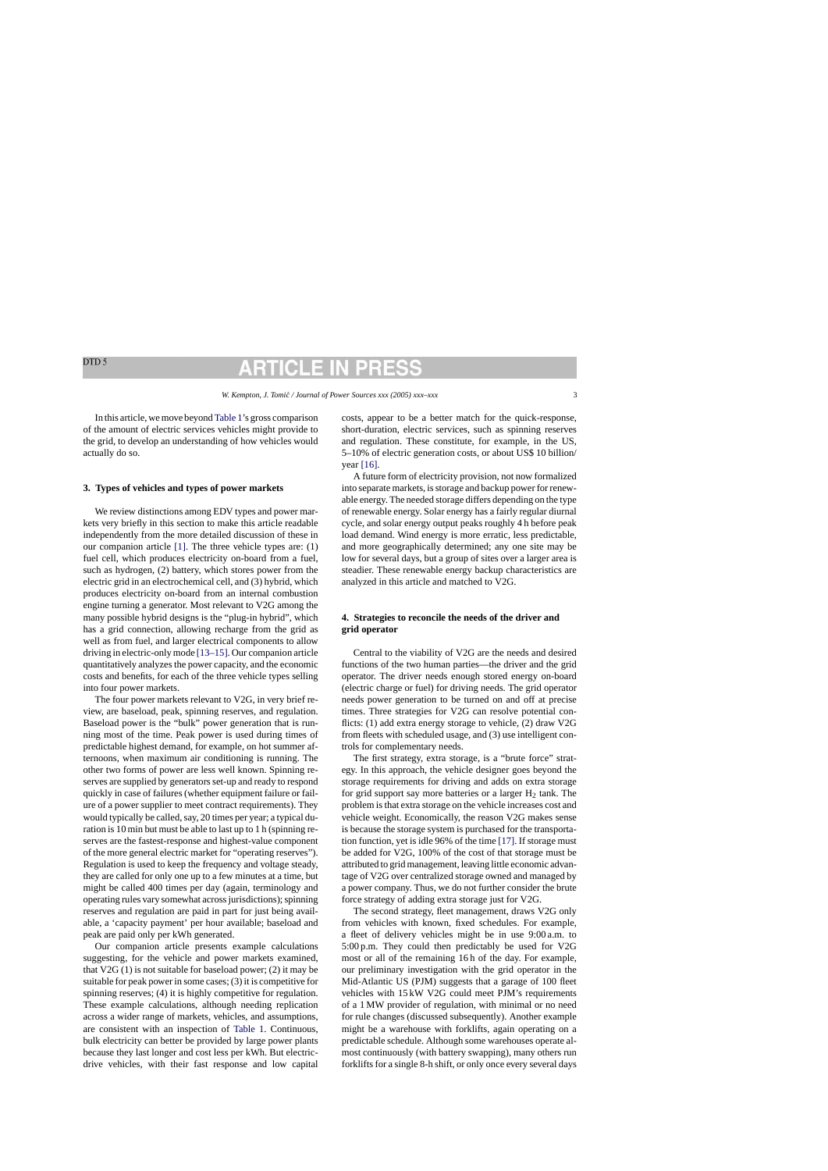In this article, we move beyond[Table 1's](#page-1-0) gross comparison of the amount of electric services vehicles might provide to the grid, to develop an understanding of how vehicles would actually do so.

### **3. Types of vehicles and types of power markets**

We review distinctions among EDV types and power markets very briefly in this section to make this article readable independently from the more detailed discussion of these in our companion article [\[1\].](#page-13-0) The three vehicle types are: (1) fuel cell, which produces electricity on-board from a fuel, such as hydrogen, (2) battery, which stores power from the electric grid in an electrochemical cell, and (3) hybrid, which produces electricity on-board from an internal combustion engine turning a generator. Most relevant to V2G among the many possible hybrid designs is the "plug-in hybrid", which has a grid connection, allowing recharge from the grid as well as from fuel, and larger electrical components to allow driving in electric-only mode [\[13–15\]. O](#page-13-0)ur companion article quantitatively analyzes the power capacity, and the economic costs and benefits, for each of the three vehicle types selling into four power markets.

The four power markets relevant to V2G, in very brief review, are baseload, peak, spinning reserves, and regulation. Baseload power is the "bulk" power generation that is running most of the time. Peak power is used during times of predictable highest demand, for example, on hot summer afternoons, when maximum air conditioning is running. The other two forms of power are less well known. Spinning reserves are supplied by generators set-up and ready to respond quickly in case of failures (whether equipment failure or failure of a power supplier to meet contract requirements). They would typically be called, say, 20 times per year; a typical duration is 10 min but must be able to last up to 1 h (spinning reserves are the fastest-response and highest-value component of the more general electric market for "operating reserves"). Regulation is used to keep the frequency and voltage steady, they are called for only one up to a few minutes at a time, but might be called 400 times per day (again, terminology and operating rules vary somewhat across jurisdictions); spinning reserves and regulation are paid in part for just being available, a 'capacity payment' per hour available; baseload and peak are paid only per kWh generated.

Our companion article presents example calculations suggesting, for the vehicle and power markets examined, that  $V2G(1)$  is not suitable for baseload power; (2) it may be suitable for peak power in some cases; (3) it is competitive for spinning reserves; (4) it is highly competitive for regulation. These example calculations, although needing replication across a wider range of markets, vehicles, and assumptions, are consistent with an inspection of [Table 1.](#page-1-0) Continuous, bulk electricity can better be provided by large power plants because they last longer and cost less per kWh. But electricdrive vehicles, with their fast response and low capital

costs, appear to be a better match for the quick-response, short-duration, electric services, such as spinning reserves and regulation. These constitute, for example, in the US, 5–10% of electric generation costs, or about US\$ 10 billion/ year [\[16\].](#page-13-0)

A future form of electricity provision, not now formalized into separate markets, is storage and backup power for renewable energy. The needed storage differs depending on the type of renewable energy. Solar energy has a fairly regular diurnal cycle, and solar energy output peaks roughly 4 h before peak load demand. Wind energy is more erratic, less predictable, and more geographically determined; any one site may be low for several days, but a group of sites over a larger area is steadier. These renewable energy backup characteristics are analyzed in this article and matched to V2G.

## **4. Strategies to reconcile the needs of the driver and grid operator**

Central to the viability of V2G are the needs and desired functions of the two human parties—the driver and the grid operator. The driver needs enough stored energy on-board (electric charge or fuel) for driving needs. The grid operator needs power generation to be turned on and off at precise times. Three strategies for V2G can resolve potential conflicts: (1) add extra energy storage to vehicle, (2) draw V2G from fleets with scheduled usage, and (3) use intelligent controls for complementary needs.

The first strategy, extra storage, is a "brute force" strategy. In this approach, the vehicle designer goes beyond the storage requirements for driving and adds on extra storage for grid support say more batteries or a larger  $H_2$  tank. The problem is that extra storage on the vehicle increases cost and vehicle weight. Economically, the reason V2G makes sense is because the storage system is purchased for the transportation function, yet is idle 96% of the time [\[17\]. I](#page-13-0)f storage must be added for V2G, 100% of the cost of that storage must be attributed to grid management, leaving little economic advantage of V2G over centralized storage owned and managed by a power company. Thus, we do not further consider the brute force strategy of adding extra storage just for V2G.

The second strategy, fleet management, draws V2G only from vehicles with known, fixed schedules. For example, a fleet of delivery vehicles might be in use 9:00 a.m. to 5:00 p.m. They could then predictably be used for V2G most or all of the remaining 16 h of the day. For example, our preliminary investigation with the grid operator in the Mid-Atlantic US (PJM) suggests that a garage of 100 fleet vehicles with 15 kW V2G could meet PJM's requirements of a 1 MW provider of regulation, with minimal or no need for rule changes (discussed subsequently). Another example might be a warehouse with forklifts, again operating on a predictable schedule. Although some warehouses operate almost continuously (with battery swapping), many others run forklifts for a single 8-h shift, or only once every several days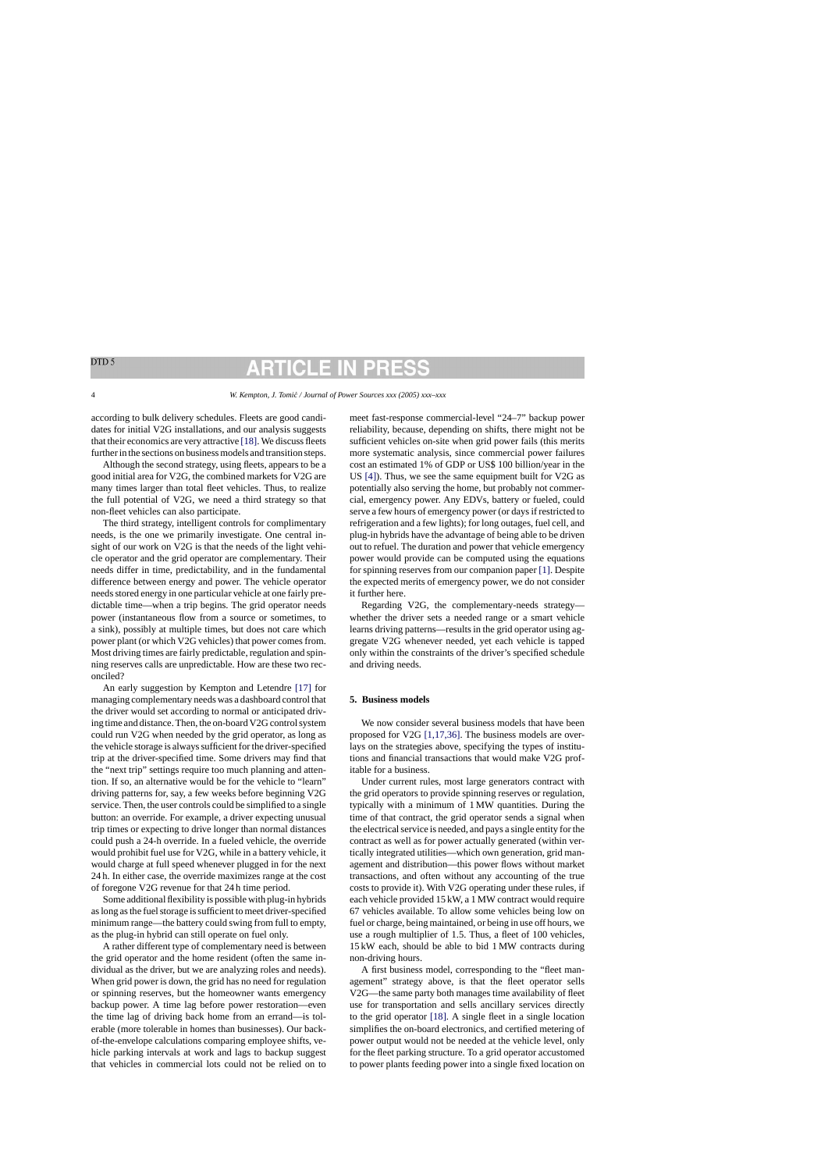# CI.

according to bulk delivery schedules. Fleets are good candidates for initial V2G installations, and our analysis suggests that their economics are very attractive [\[18\]. W](#page-13-0)e discuss fleets further in the sections on business models and transition steps.

Although the second strategy, using fleets, appears to be a good initial area for V2G, the combined markets for V2G are many times larger than total fleet vehicles. Thus, to realize the full potential of V2G, we need a third strategy so that non-fleet vehicles can also participate.

The third strategy, intelligent controls for complimentary needs, is the one we primarily investigate. One central insight of our work on V2G is that the needs of the light vehicle operator and the grid operator are complementary. Their needs differ in time, predictability, and in the fundamental difference between energy and power. The vehicle operator needs stored energy in one particular vehicle at one fairly predictable time—when a trip begins. The grid operator needs power (instantaneous flow from a source or sometimes, to a sink), possibly at multiple times, but does not care which power plant (or which V2G vehicles) that power comes from. Most driving times are fairly predictable, regulation and spinning reserves calls are unpredictable. How are these two reconciled?

An early suggestion by Kempton and Letendre [\[17\]](#page-13-0) for managing complementary needs was a dashboard control that the driver would set according to normal or anticipated driving time and distance. Then, the on-board V2G control system could run V2G when needed by the grid operator, as long as the vehicle storage is always sufficient for the driver-specified trip at the driver-specified time. Some drivers may find that the "next trip" settings require too much planning and attention. If so, an alternative would be for the vehicle to "learn" driving patterns for, say, a few weeks before beginning V2G service. Then, the user controls could be simplified to a single button: an override. For example, a driver expecting unusual trip times or expecting to drive longer than normal distances could push a 24-h override. In a fueled vehicle, the override would prohibit fuel use for V2G, while in a battery vehicle, it would charge at full speed whenever plugged in for the next 24 h. In either case, the override maximizes range at the cost of foregone V2G revenue for that 24 h time period.

Some additional flexibility is possible with plug-in hybrids as long as the fuel storage is sufficient to meet driver-specified minimum range—the battery could swing from full to empty, as the plug-in hybrid can still operate on fuel only.

A rather different type of complementary need is between the grid operator and the home resident (often the same individual as the driver, but we are analyzing roles and needs). When grid power is down, the grid has no need for regulation or spinning reserves, but the homeowner wants emergency backup power. A time lag before power restoration—even the time lag of driving back home from an errand—is tolerable (more tolerable in homes than businesses). Our backof-the-envelope calculations comparing employee shifts, vehicle parking intervals at work and lags to backup suggest that vehicles in commercial lots could not be relied on to

meet fast-response commercial-level "24–7" backup power reliability, because, depending on shifts, there might not be sufficient vehicles on-site when grid power fails (this merits more systematic analysis, since commercial power failures cost an estimated 1% of GDP or US\$ 100 billion/year in the US [\[4\]\).](#page-13-0) Thus, we see the same equipment built for V2G as potentially also serving the home, but probably not commercial, emergency power. Any EDVs, battery or fueled, could serve a few hours of emergency power (or days if restricted to refrigeration and a few lights); for long outages, fuel cell, and plug-in hybrids have the advantage of being able to be driven out to refuel. The duration and power that vehicle emergency power would provide can be computed using the equations for spinning reserves from our companion paper [\[1\]. D](#page-13-0)espite the expected merits of emergency power, we do not consider it further here.

Regarding V2G, the complementary-needs strategy whether the driver sets a needed range or a smart vehicle learns driving patterns—results in the grid operator using aggregate V2G whenever needed, yet each vehicle is tapped only within the constraints of the driver's specified schedule and driving needs.

### **5. Business models**

We now consider several business models that have been proposed for V2G [\[1,17,36\].](#page-13-0) The business models are overlays on the strategies above, specifying the types of institutions and financial transactions that would make V2G profitable for a business.

Under current rules, most large generators contract with the grid operators to provide spinning reserves or regulation, typically with a minimum of 1 MW quantities. During the time of that contract, the grid operator sends a signal when the electrical service is needed, and pays a single entity for the contract as well as for power actually generated (within vertically integrated utilities—which own generation, grid management and distribution—this power flows without market transactions, and often without any accounting of the true costs to provide it). With V2G operating under these rules, if each vehicle provided 15 kW, a 1 MW contract would require 67 vehicles available. To allow some vehicles being low on fuel or charge, being maintained, or being in use off hours, we use a rough multiplier of 1.5. Thus, a fleet of 100 vehicles, 15 kW each, should be able to bid 1 MW contracts during non-driving hours.

A first business model, corresponding to the "fleet management" strategy above, is that the fleet operator sells V2G—the same party both manages time availability of fleet use for transportation and sells ancillary services directly to the grid operator [\[18\].](#page-13-0) A single fleet in a single location simplifies the on-board electronics, and certified metering of power output would not be needed at the vehicle level, only for the fleet parking structure. To a grid operator accustomed to power plants feeding power into a single fixed location on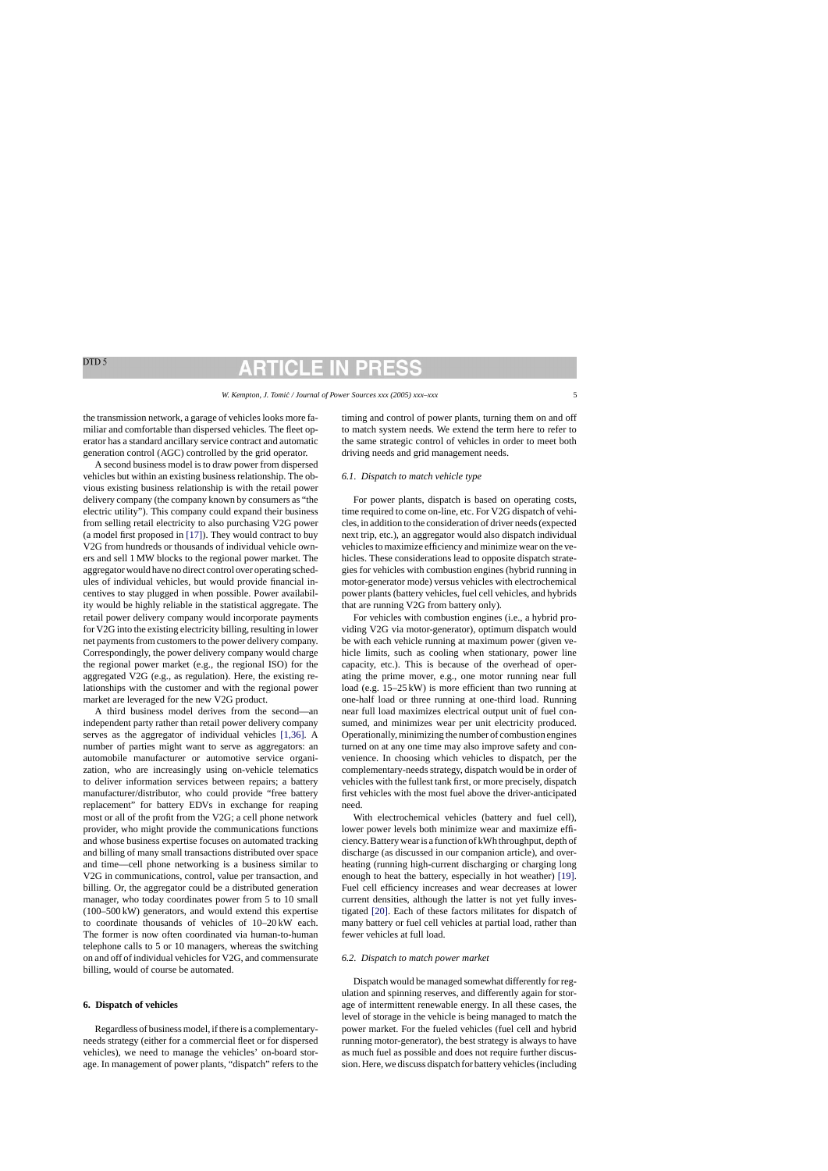the transmission network, a garage of vehicles looks more familiar and comfortable than dispersed vehicles. The fleet operator has a standard ancillary service contract and automatic generation control (AGC) controlled by the grid operator.

A second business model is to draw power from dispersed vehicles but within an existing business relationship. The obvious existing business relationship is with the retail power delivery company (the company known by consumers as "the electric utility"). This company could expand their business from selling retail electricity to also purchasing V2G power (a model first proposed in [\[17\]\).](#page-13-0) They would contract to buy V2G from hundreds or thousands of individual vehicle owners and sell 1 MW blocks to the regional power market. The aggregator would have no direct control over operating schedules of individual vehicles, but would provide financial incentives to stay plugged in when possible. Power availability would be highly reliable in the statistical aggregate. The retail power delivery company would incorporate payments for V2G into the existing electricity billing, resulting in lower net payments from customers to the power delivery company. Correspondingly, the power delivery company would charge the regional power market (e.g., the regional ISO) for the aggregated V2G (e.g., as regulation). Here, the existing relationships with the customer and with the regional power market are leveraged for the new V2G product.

A third business model derives from the second—an independent party rather than retail power delivery company serves as the aggregator of individual vehicles [\[1,36\].](#page-13-0) A number of parties might want to serve as aggregators: an automobile manufacturer or automotive service organization, who are increasingly using on-vehicle telematics to deliver information services between repairs; a battery manufacturer/distributor, who could provide "free battery replacement" for battery EDVs in exchange for reaping most or all of the profit from the V2G; a cell phone network provider, who might provide the communications functions and whose business expertise focuses on automated tracking and billing of many small transactions distributed over space and time—cell phone networking is a business similar to V2G in communications, control, value per transaction, and billing. Or, the aggregator could be a distributed generation manager, who today coordinates power from 5 to 10 small (100–500 kW) generators, and would extend this expertise to coordinate thousands of vehicles of 10–20 kW each. The former is now often coordinated via human-to-human telephone calls to 5 or 10 managers, whereas the switching on and off of individual vehicles for V2G, and commensurate billing, would of course be automated.

#### **6. Dispatch of vehicles**

Regardless of business model, if there is a complementaryneeds strategy (either for a commercial fleet or for dispersed vehicles), we need to manage the vehicles' on-board storage. In management of power plants, "dispatch" refers to the timing and control of power plants, turning them on and off to match system needs. We extend the term here to refer to the same strategic control of vehicles in order to meet both driving needs and grid management needs.

#### *6.1. Dispatch to match vehicle type*

For power plants, dispatch is based on operating costs, time required to come on-line, etc. For V2G dispatch of vehicles, in addition to the consideration of driver needs (expected next trip, etc.), an aggregator would also dispatch individual vehicles to maximize efficiency and minimize wear on the vehicles. These considerations lead to opposite dispatch strategies for vehicles with combustion engines (hybrid running in motor-generator mode) versus vehicles with electrochemical power plants (battery vehicles, fuel cell vehicles, and hybrids that are running V2G from battery only).

For vehicles with combustion engines (i.e., a hybrid providing V2G via motor-generator), optimum dispatch would be with each vehicle running at maximum power (given vehicle limits, such as cooling when stationary, power line capacity, etc.). This is because of the overhead of operating the prime mover, e.g., one motor running near full load (e.g. 15–25 kW) is more efficient than two running at one-half load or three running at one-third load. Running near full load maximizes electrical output unit of fuel consumed, and minimizes wear per unit electricity produced. Operationally, minimizing the number of combustion engines turned on at any one time may also improve safety and convenience. In choosing which vehicles to dispatch, per the complementary-needs strategy, dispatch would be in order of vehicles with the fullest tank first, or more precisely, dispatch first vehicles with the most fuel above the driver-anticipated need.

With electrochemical vehicles (battery and fuel cell), lower power levels both minimize wear and maximize efficiency. Battery wear is a function of kWh throughput, depth of discharge (as discussed in our companion article), and overheating (running high-current discharging or charging long enough to heat the battery, especially in hot weather) [\[19\].](#page-13-0) Fuel cell efficiency increases and wear decreases at lower current densities, although the latter is not yet fully investigated [\[20\].](#page-13-0) Each of these factors militates for dispatch of many battery or fuel cell vehicles at partial load, rather than fewer vehicles at full load.

#### *6.2. Dispatch to match power market*

Dispatch would be managed somewhat differently for regulation and spinning reserves, and differently again for storage of intermittent renewable energy. In all these cases, the level of storage in the vehicle is being managed to match the power market. For the fueled vehicles (fuel cell and hybrid running motor-generator), the best strategy is always to have as much fuel as possible and does not require further discussion. Here, we discuss dispatch for battery vehicles (including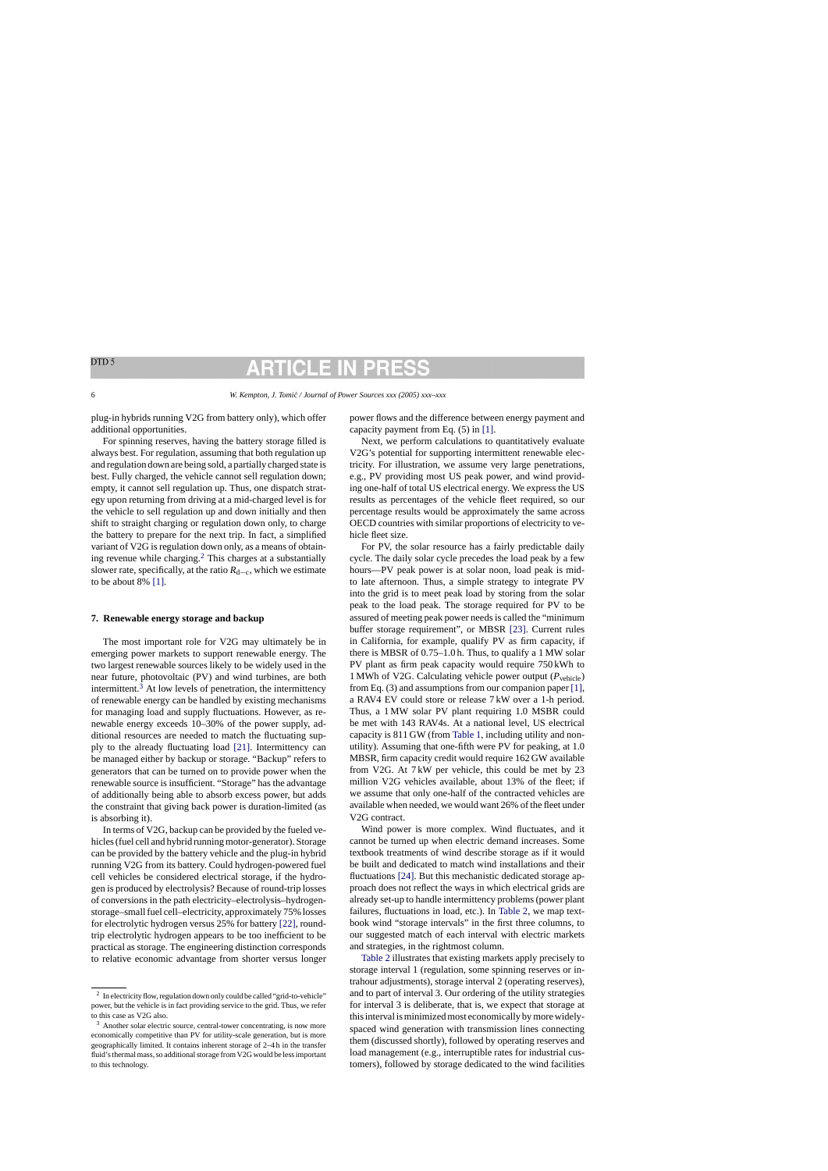## TOT E

plug-in hybrids running V2G from battery only), which offer additional opportunities.

For spinning reserves, having the battery storage filled is always best. For regulation, assuming that both regulation up and regulation down are being sold, a partially charged state is best. Fully charged, the vehicle cannot sell regulation down; empty, it cannot sell regulation up. Thus, one dispatch strategy upon returning from driving at a mid-charged level is for the vehicle to sell regulation up and down initially and then shift to straight charging or regulation down only, to charge the battery to prepare for the next trip. In fact, a simplified variant of V2G is regulation down only, as a means of obtaining revenue while charging. $<sup>2</sup>$  This charges at a substantially</sup> slower rate, specifically, at the ratio  $R_{d-c}$ , which we estimate to be about 8% [\[1\].](#page-13-0)

### **7. Renewable energy storage and backup**

The most important role for V2G may ultimately be in emerging power markets to support renewable energy. The two largest renewable sources likely to be widely used in the near future, photovoltaic (PV) and wind turbines, are both intermittent.<sup>3</sup> At low levels of penetration, the intermittency of renewable energy can be handled by existing mechanisms for managing load and supply fluctuations. However, as renewable energy exceeds 10–30% of the power supply, additional resources are needed to match the fluctuating supply to the already fluctuating load [\[21\].](#page-13-0) Intermittency can be managed either by backup or storage. "Backup" refers to generators that can be turned on to provide power when the renewable source is insufficient. "Storage" has the advantage of additionally being able to absorb excess power, but adds the constraint that giving back power is duration-limited (as is absorbing it).

In terms of V2G, backup can be provided by the fueled vehicles (fuel cell and hybrid running motor-generator). Storage can be provided by the battery vehicle and the plug-in hybrid running V2G from its battery. Could hydrogen-powered fuel cell vehicles be considered electrical storage, if the hydrogen is produced by electrolysis? Because of round-trip losses of conversions in the path electricity–electrolysis–hydrogenstorage–small fuel cell–electricity, approximately 75% losses for electrolytic hydrogen versus 25% for battery [\[22\], r](#page-13-0)oundtrip electrolytic hydrogen appears to be too inefficient to be practical as storage. The engineering distinction corresponds to relative economic advantage from shorter versus longer power flows and the difference between energy payment and capacity payment from Eq.  $(5)$  in [\[1\].](#page-13-0)

Next, we perform calculations to quantitatively evaluate V2G's potential for supporting intermittent renewable electricity. For illustration, we assume very large penetrations, e.g., PV providing most US peak power, and wind providing one-half of total US electrical energy. We express the US results as percentages of the vehicle fleet required, so our percentage results would be approximately the same across OECD countries with similar proportions of electricity to vehicle fleet size.

For PV, the solar resource has a fairly predictable daily cycle. The daily solar cycle precedes the load peak by a few hours—PV peak power is at solar noon, load peak is midto late afternoon. Thus, a simple strategy to integrate PV into the grid is to meet peak load by storing from the solar peak to the load peak. The storage required for PV to be assured of meeting peak power needs is called the "minimum buffer storage requirement", or MBSR [\[23\].](#page-13-0) Current rules in California, for example, qualify PV as firm capacity, if there is MBSR of 0.75–1.0 h. Thus, to qualify a 1 MW solar PV plant as firm peak capacity would require 750 kWh to 1 MWh of V2G. Calculating vehicle power output (*P*vehicle) from Eq. (3) and assumptions from our companion paper [\[1\],](#page-13-0) a RAV4 EV could store or release 7 kW over a 1-h period. Thus, a 1 MW solar PV plant requiring 1.0 MSBR could be met with 143 RAV4s. At a national level, US electrical capacity is 811 GW (from [Table 1, i](#page-1-0)ncluding utility and nonutility). Assuming that one-fifth were PV for peaking, at 1.0 MBSR, firm capacity credit would require 162 GW available from V2G. At 7 kW per vehicle, this could be met by 23 million V2G vehicles available, about 13% of the fleet; if we assume that only one-half of the contracted vehicles are available when needed, we would want 26% of the fleet under V2G contract.

Wind power is more complex. Wind fluctuates, and it cannot be turned up when electric demand increases. Some textbook treatments of wind describe storage as if it would be built and dedicated to match wind installations and their fluctuations [\[24\].](#page-13-0) But this mechanistic dedicated storage approach does not reflect the ways in which electrical grids are already set-up to handle intermittency problems (power plant failures, fluctuations in load, etc.). In [Table 2,](#page-6-0) we map textbook wind "storage intervals" in the first three columns, to our suggested match of each interval with electric markets and strategies, in the rightmost column.

[Table 2](#page-6-0) illustrates that existing markets apply precisely to storage interval 1 (regulation, some spinning reserves or intrahour adjustments), storage interval 2 (operating reserves), and to part of interval 3. Our ordering of the utility strategies for interval 3 is deliberate, that is, we expect that storage at this interval is minimized most economically by more widelyspaced wind generation with transmission lines connecting them (discussed shortly), followed by operating reserves and load management (e.g., interruptible rates for industrial customers), followed by storage dedicated to the wind facilities

<sup>&</sup>lt;sup>2</sup> In electricity flow, regulation down only could be called "grid-to-vehicle" power, but the vehicle is in fact providing service to the grid. Thus, we refer to this case as V2G also.

<sup>&</sup>lt;sup>3</sup> Another solar electric source, central-tower concentrating, is now more economically competitive than PV for utility-scale generation, but is more geographically limited. It contains inherent storage of 2–4 h in the transfer fluid's thermal mass, so additional storage from V2G would be less important to this technology.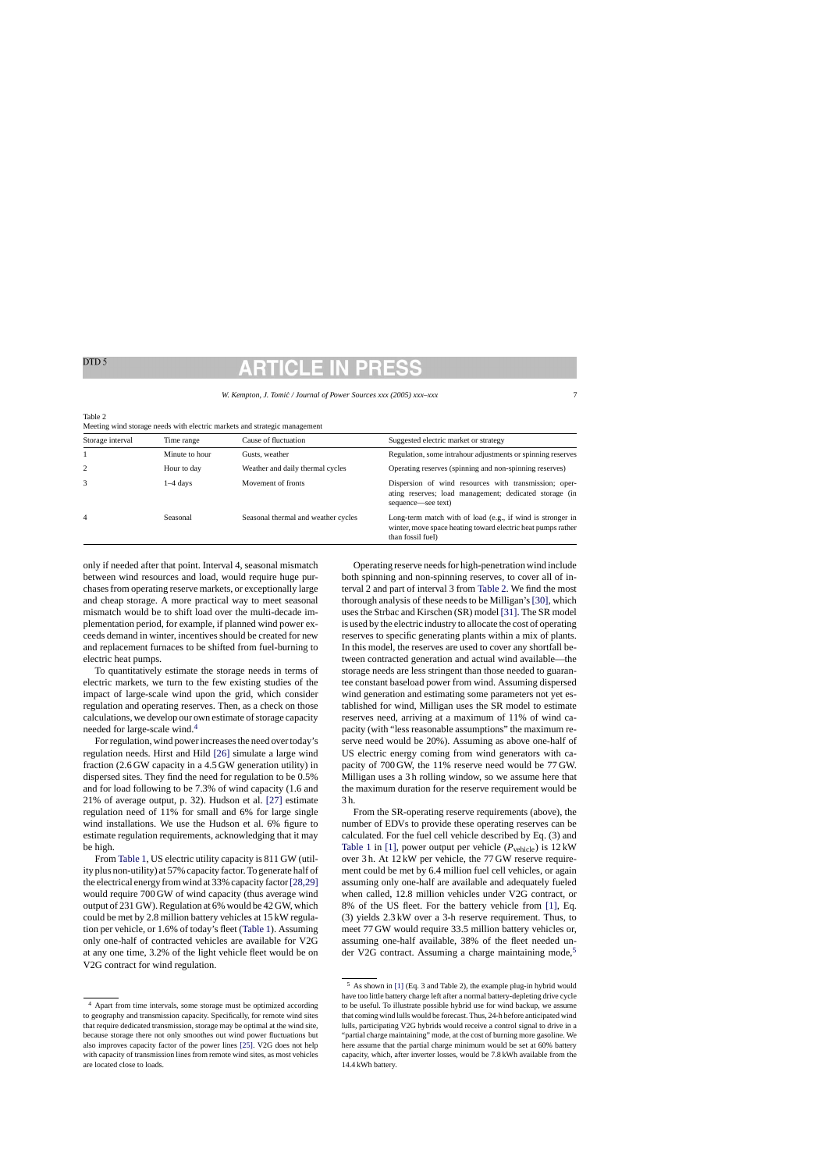*W. Kempton, J. Tomić / Journal of Power Sources xxx (2005) xxx–xxx* 7

<span id="page-6-0"></span>Table 2 Meeting wind storage needs with electric markets and strategic management

| Storage interval | Time range     | Cause of fluctuation                | Suggested electric market or strategy                                                                                                           |
|------------------|----------------|-------------------------------------|-------------------------------------------------------------------------------------------------------------------------------------------------|
|                  | Minute to hour | Gusts, weather                      | Regulation, some intrahour adjustments or spinning reserves                                                                                     |
| 2                | Hour to day    | Weather and daily thermal cycles    | Operating reserves (spinning and non-spinning reserves)                                                                                         |
| 3                | 1–4 days       | Movement of fronts                  | Dispersion of wind resources with transmission; oper-<br>ating reserves; load management; dedicated storage (in<br>sequence—see text)           |
| 4                | Seasonal       | Seasonal thermal and weather cycles | Long-term match with of load (e.g., if wind is stronger in<br>winter, move space heating toward electric heat pumps rather<br>than fossil fuel) |

only if needed after that point. Interval 4, seasonal mismatch between wind resources and load, would require huge purchases from operating reserve markets, or exceptionally large and cheap storage. A more practical way to meet seasonal mismatch would be to shift load over the multi-decade implementation period, for example, if planned wind power exceeds demand in winter, incentives should be created for new and replacement furnaces to be shifted from fuel-burning to electric heat pumps.

To quantitatively estimate the storage needs in terms of electric markets, we turn to the few existing studies of the impact of large-scale wind upon the grid, which consider regulation and operating reserves. Then, as a check on those calculations, we develop our own estimate of storage capacity needed for large-scale wind.<sup>4</sup>

For regulation, wind power increases the need over today's regulation needs. Hirst and Hild [\[26\]](#page-13-0) simulate a large wind fraction (2.6 GW capacity in a 4.5 GW generation utility) in dispersed sites. They find the need for regulation to be 0.5% and for load following to be 7.3% of wind capacity (1.6 and 21% of average output, p. 32). Hudson et al. [\[27\]](#page-13-0) estimate regulation need of 11% for small and 6% for large single wind installations. We use the Hudson et al. 6% figure to estimate regulation requirements, acknowledging that it may be high.

From [Table 1, U](#page-1-0)S electric utility capacity is 811 GW (utility plus non-utility) at 57% capacity factor. To generate half of the electrical energy from wind at 33% capacity factor [\[28,29\]](#page-13-0) would require 700 GW of wind capacity (thus average wind output of 231 GW). Regulation at 6% would be 42 GW, which could be met by 2.8 million battery vehicles at 15 kW regulation per vehicle, or 1.6% of today's fleet ([Table 1\).](#page-1-0) Assuming only one-half of contracted vehicles are available for V2G at any one time, 3.2% of the light vehicle fleet would be on V2G contract for wind regulation.

Operating reserve needs for high-penetration wind include both spinning and non-spinning reserves, to cover all of interval 2 and part of interval 3 from Table 2. We find the most thorough analysis of these needs to be Milligan's [\[30\], w](#page-13-0)hich uses the Strbac and Kirschen (SR) model [\[31\]. T](#page-13-0)he SR model is used by the electric industry to allocate the cost of operating reserves to specific generating plants within a mix of plants. In this model, the reserves are used to cover any shortfall between contracted generation and actual wind available—the storage needs are less stringent than those needed to guarantee constant baseload power from wind. Assuming dispersed wind generation and estimating some parameters not yet established for wind, Milligan uses the SR model to estimate reserves need, arriving at a maximum of 11% of wind capacity (with "less reasonable assumptions" the maximum reserve need would be 20%). Assuming as above one-half of US electric energy coming from wind generators with capacity of 700 GW, the 11% reserve need would be 77 GW. Milligan uses a 3 h rolling window, so we assume here that the maximum duration for the reserve requirement would be 3 h.

From the SR-operating reserve requirements (above), the number of EDVs to provide these operating reserves can be calculated. For the fuel cell vehicle described by Eq. (3) and [Table 1](#page-1-0) in [\[1\],](#page-13-0) power output per vehicle  $(P_{\text{vehicle}})$  is  $12 \text{kW}$ over 3 h. At 12 kW per vehicle, the 77 GW reserve requirement could be met by 6.4 million fuel cell vehicles, or again assuming only one-half are available and adequately fueled when called, 12.8 million vehicles under V2G contract, or 8% of the US fleet. For the battery vehicle from [\[1\],](#page-13-0) Eq. (3) yields 2.3 kW over a 3-h reserve requirement. Thus, to meet 77 GW would require 33.5 million battery vehicles or, assuming one-half available, 38% of the fleet needed under V2G contract. Assuming a charge maintaining mode,<sup>5</sup>

<sup>4</sup> Apart from time intervals, some storage must be optimized according to geography and transmission capacity. Specifically, for remote wind sites that require dedicated transmission, storage may be optimal at the wind site, because storage there not only smoothes out wind power fluctuations but also improves capacity factor of the power lines [\[25\]. V](#page-13-0)2G does not help with capacity of transmission lines from remote wind sites, as most vehicles are located close to loads.

<sup>5</sup> As shown in [\[1\]](#page-13-0) (Eq. 3 and Table 2), the example plug-in hybrid would have too little battery charge left after a normal battery-depleting drive cycle to be useful. To illustrate possible hybrid use for wind backup, we assume that coming wind lulls would be forecast. Thus, 24-h before anticipated wind lulls, participating V2G hybrids would receive a control signal to drive in a "partial charge maintaining" mode, at the cost of burning more gasoline. We here assume that the partial charge minimum would be set at 60% battery capacity, which, after inverter losses, would be 7.8 kWh available from the 14.4 kWh battery.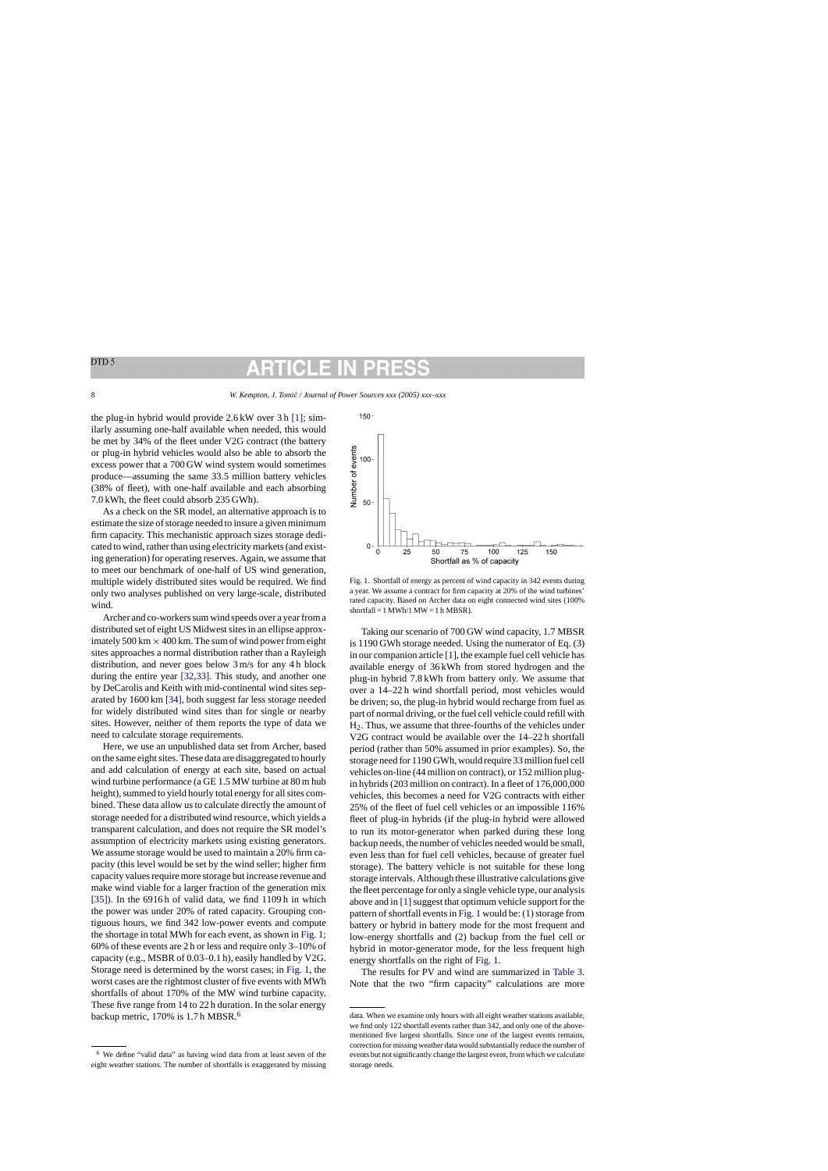8 *W. Kempton, J. Tomi´c / Journal of Power Sources xxx (2005) xxx–xxx*

the plug-in hybrid would provide 2.6 kW over 3 h [\[1\];](#page-13-0) similarly assuming one-half available when needed, this would be met by 34% of the fleet under V2G contract (the battery or plug-in hybrid vehicles would also be able to absorb the excess power that a 700 GW wind system would sometimes produce—assuming the same 33.5 million battery vehicles (38% of fleet), with one-half available and each absorbing 7.0 kWh, the fleet could absorb 235 GWh).

As a check on the SR model, an alternative approach is to estimate the size of storage needed to insure a given minimum firm capacity. This mechanistic approach sizes storage dedicated to wind, rather than using electricity markets (and existing generation) for operating reserves. Again, we assume that to meet our benchmark of one-half of US wind generation, multiple widely distributed sites would be required. We find only two analyses published on very large-scale, distributed wind.

Archer and co-workers sum wind speeds over a year from a distributed set of eight US Midwest sites in an ellipse approximately 500 km  $\times$  400 km. The sum of wind power from eight sites approaches a normal distribution rather than a Rayleigh distribution, and never goes below 3 m/s for any 4 h block during the entire year [\[32,33\].](#page-13-0) This study, and another one by DeCarolis and Keith with mid-continental wind sites separated by 1600 km [\[34\], b](#page-13-0)oth suggest far less storage needed for widely distributed wind sites than for single or nearby sites. However, neither of them reports the type of data we need to calculate storage requirements.

Here, we use an unpublished data set from Archer, based on the same eight sites. These data are disaggregated to hourly and add calculation of energy at each site, based on actual wind turbine performance (a GE 1.5 MW turbine at 80 m hub height), summed to yield hourly total energy for all sites combined. These data allow us to calculate directly the amount of storage needed for a distributed wind resource, which yields a transparent calculation, and does not require the SR model's assumption of electricity markets using existing generators. We assume storage would be used to maintain a 20% firm capacity (this level would be set by the wind seller; higher firm capacity values require more storage but increase revenue and make wind viable for a larger fraction of the generation mix [\[35\]\).](#page-13-0) In the 6916 h of valid data, we find 1109 h in which the power was under 20% of rated capacity. Grouping contiguous hours, we find 342 low-power events and compute the shortage in total MWh for each event, as shown in Fig. 1; 60% of these events are 2 h or less and require only 3–10% of capacity (e.g., MSBR of 0.03–0.1 h), easily handled by V2G. Storage need is determined by the worst cases; in Fig. 1, the worst cases are the rightmost cluster of five events with MWh shortfalls of about 170% of the MW wind turbine capacity. These five range from 14 to 22 h duration. In the solar energy backup metric, 170% is 1.7 h MBSR.<sup>6</sup>



Fig. 1. Shortfall of energy as percent of wind capacity in 342 events during a year. We assume a contract for firm capacity at 20% of the wind turbines' rated capacity. Based on Archer data on eight connected wind sites (100% shortfall =  $1$  MWh/ $1$  MW =  $1$  h MBSR).

Taking our scenario of 700 GW wind capacity, 1.7 MBSR is 1190 GWh storage needed. Using the numerator of Eq. (3) in our companion article [\[1\], t](#page-13-0)he example fuel cell vehicle has available energy of 36 kWh from stored hydrogen and the plug-in hybrid 7.8 kWh from battery only. We assume that over a 14–22 h wind shortfall period, most vehicles would be driven; so, the plug-in hybrid would recharge from fuel as part of normal driving, or the fuel cell vehicle could refill with H2. Thus, we assume that three-fourths of the vehicles under V2G contract would be available over the 14–22 h shortfall period (rather than 50% assumed in prior examples). So, the storage need for 1190 GWh, would require 33 million fuel cell vehicles on-line (44 million on contract), or 152 million plugin hybrids (203 million on contract). In a fleet of 176,000,000 vehicles, this becomes a need for V2G contracts with either 25% of the fleet of fuel cell vehicles or an impossible 116% fleet of plug-in hybrids (if the plug-in hybrid were allowed to run its motor-generator when parked during these long backup needs, the number of vehicles needed would be small, even less than for fuel cell vehicles, because of greater fuel storage). The battery vehicle is not suitable for these long storage intervals. Although these illustrative calculations give the fleet percentage for only a single vehicle type, our analysis above and in  $[1]$  suggest that optimum vehicle support for the pattern of shortfall events in Fig. 1 would be: (1) storage from battery or hybrid in battery mode for the most frequent and low-energy shortfalls and (2) backup from the fuel cell or hybrid in motor-generator mode, for the less frequent high energy shortfalls on the right of Fig. 1.

The results for PV and wind are summarized in [Table 3.](#page-8-0) Note that the two "firm capacity" calculations are more

<sup>6</sup> We define "valid data" as having wind data from at least seven of the eight weather stations. The number of shortfalls is exaggerated by missing

data. When we examine only hours with all eight weather stations available, we find only 122 shortfall events rather than 342, and only one of the abovementioned five largest shortfalls. Since one of the largest events remains, correction for missing weather data would substantially reduce the number of events but not significantly change the largest event, from which we calculate storage needs.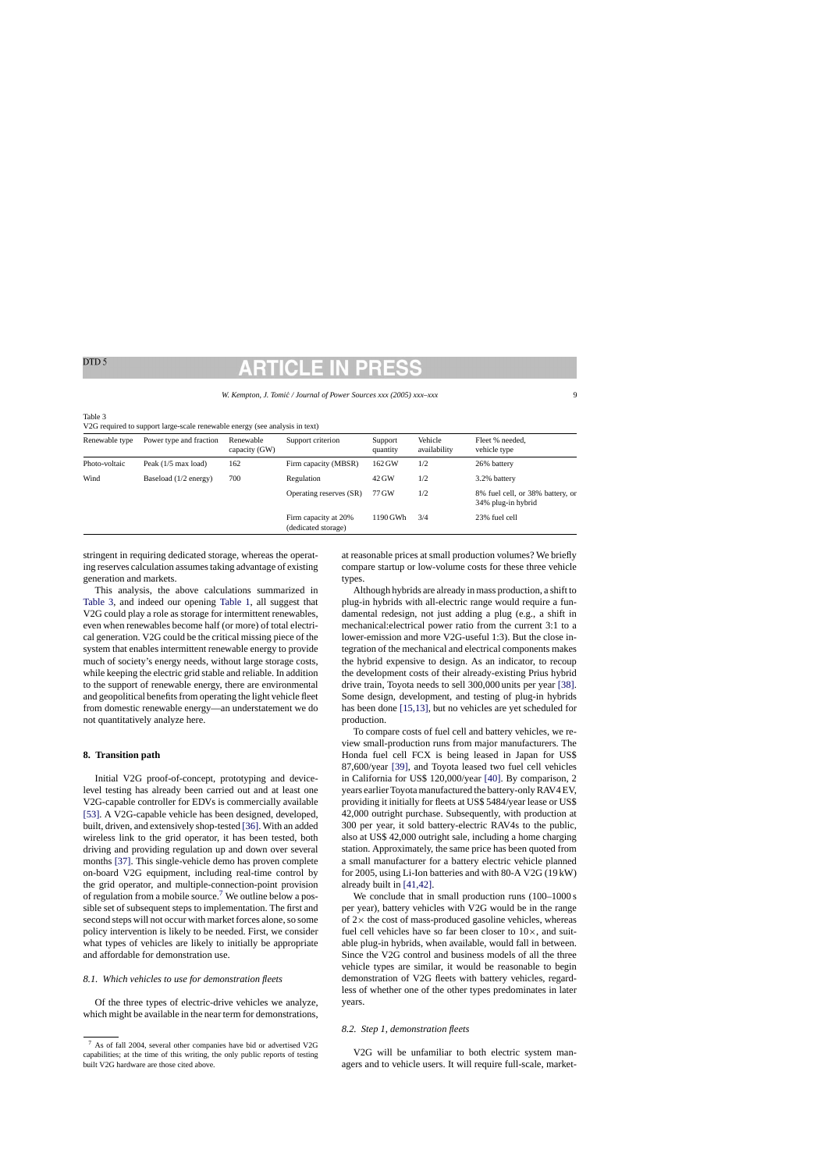<span id="page-8-0"></span>Table 3 V2G required to support large-scale renewable energy (see analysis in text)

| Renewable type | Power type and fraction | Renewable<br>capacity (GW) | Support criterion                           | Support<br>quantity | Vehicle<br>availability | Fleet % needed,<br>vehicle type                        |
|----------------|-------------------------|----------------------------|---------------------------------------------|---------------------|-------------------------|--------------------------------------------------------|
| Photo-voltaic  | Peak $(1/5$ max load)   | 162                        | Firm capacity (MBSR)                        | 162 GW              | 1/2                     | 26% battery                                            |
| Wind           | Baseload (1/2 energy)   | 700                        | Regulation                                  | 42 GW               | 1/2                     | 3.2% battery                                           |
|                |                         |                            | Operating reserves (SR)                     | 77 GW               | 1/2                     | 8% fuel cell, or 38% battery, or<br>34% plug-in hybrid |
|                |                         |                            | Firm capacity at 20%<br>(dedicated storage) | 1190 GWh            | 3/4                     | 23% fuel cell                                          |

stringent in requiring dedicated storage, whereas the operating reserves calculation assumes taking advantage of existing generation and markets.

This analysis, the above calculations summarized in Table 3, and indeed our opening [Table 1,](#page-1-0) all suggest that V2G could play a role as storage for intermittent renewables, even when renewables become half (or more) of total electrical generation. V2G could be the critical missing piece of the system that enables intermittent renewable energy to provide much of society's energy needs, without large storage costs, while keeping the electric grid stable and reliable. In addition to the support of renewable energy, there are environmental and geopolitical benefits from operating the light vehicle fleet from domestic renewable energy—an understatement we do not quantitatively analyze here.

### **8. Transition path**

Initial V2G proof-of-concept, prototyping and devicelevel testing has already been carried out and at least one V2G-capable controller for EDVs is commercially available [\[53\].](#page-14-0) A V2G-capable vehicle has been designed, developed, built, driven, and extensively shop-tested [\[36\]. W](#page-14-0)ith an added wireless link to the grid operator, it has been tested, both driving and providing regulation up and down over several months [\[37\].](#page-14-0) This single-vehicle demo has proven complete on-board V2G equipment, including real-time control by the grid operator, and multiple-connection-point provision of regulation from a mobile source.<sup>7</sup> We outline below a possible set of subsequent steps to implementation. The first and second steps will not occur with market forces alone, so some policy intervention is likely to be needed. First, we consider what types of vehicles are likely to initially be appropriate and affordable for demonstration use.

### *8.1. Which vehicles to use for demonstration fleets*

Of the three types of electric-drive vehicles we analyze, which might be available in the near term for demonstrations, at reasonable prices at small production volumes? We briefly compare startup or low-volume costs for these three vehicle types.

Although hybrids are already in mass production, a shift to plug-in hybrids with all-electric range would require a fundamental redesign, not just adding a plug (e.g., a shift in mechanical:electrical power ratio from the current 3:1 to a lower-emission and more V2G-useful 1:3). But the close integration of the mechanical and electrical components makes the hybrid expensive to design. As an indicator, to recoup the development costs of their already-existing Prius hybrid drive train, Toyota needs to sell 300,000 units per year [\[38\].](#page-14-0) Some design, development, and testing of plug-in hybrids has been done [\[15,13\], b](#page-13-0)ut no vehicles are yet scheduled for production.

To compare costs of fuel cell and battery vehicles, we review small-production runs from major manufacturers. The Honda fuel cell FCX is being leased in Japan for US\$ 87,600/year [\[39\],](#page-14-0) and Toyota leased two fuel cell vehicles in California for US\$ 120,000/year [\[40\].](#page-14-0) By comparison, 2 years earlier Toyota manufactured the battery-only RAV4 EV, providing it initially for fleets at US\$ 5484/year lease or US\$ 42,000 outright purchase. Subsequently, with production at 300 per year, it sold battery-electric RAV4s to the public, also at US\$ 42,000 outright sale, including a home charging station. Approximately, the same price has been quoted from a small manufacturer for a battery electric vehicle planned for 2005, using Li-Ion batteries and with 80-A V2G (19 kW) already built in [\[41,42\].](#page-14-0)

We conclude that in small production runs (100–1000 s) per year), battery vehicles with V2G would be in the range of  $2\times$  the cost of mass-produced gasoline vehicles, whereas fuel cell vehicles have so far been closer to  $10\times$ , and suitable plug-in hybrids, when available, would fall in between. Since the V2G control and business models of all the three vehicle types are similar, it would be reasonable to begin demonstration of V2G fleets with battery vehicles, regardless of whether one of the other types predominates in later years.

#### *8.2. Step 1, demonstration fleets*

V2G will be unfamiliar to both electric system managers and to vehicle users. It will require full-scale, market-

<sup>7</sup> As of fall 2004, several other companies have bid or advertised V2G capabilities; at the time of this writing, the only public reports of testing built V2G hardware are those cited above.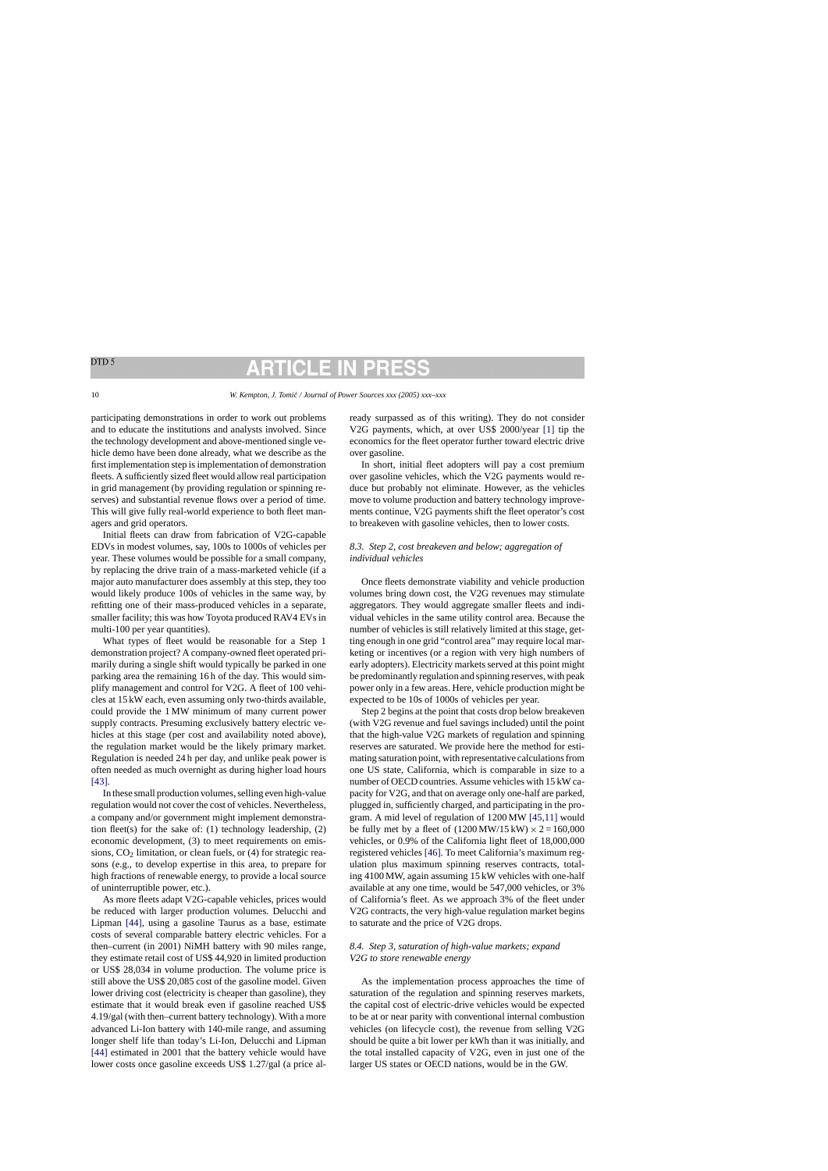# CI I

participating demonstrations in order to work out problems and to educate the institutions and analysts involved. Since the technology development and above-mentioned single vehicle demo have been done already, what we describe as the first implementation step is implementation of demonstration fleets. A sufficiently sized fleet would allow real participation in grid management (by providing regulation or spinning reserves) and substantial revenue flows over a period of time. This will give fully real-world experience to both fleet managers and grid operators.

Initial fleets can draw from fabrication of V2G-capable EDVs in modest volumes, say, 100s to 1000s of vehicles per year. These volumes would be possible for a small company, by replacing the drive train of a mass-marketed vehicle (if a major auto manufacturer does assembly at this step, they too would likely produce 100s of vehicles in the same way, by refitting one of their mass-produced vehicles in a separate, smaller facility; this was how Toyota produced RAV4 EVs in multi-100 per year quantities).

What types of fleet would be reasonable for a Step 1 demonstration project? A company-owned fleet operated primarily during a single shift would typically be parked in one parking area the remaining 16 h of the day. This would simplify management and control for V2G. A fleet of 100 vehicles at 15 kW each, even assuming only two-thirds available, could provide the 1 MW minimum of many current power supply contracts. Presuming exclusively battery electric vehicles at this stage (per cost and availability noted above), the regulation market would be the likely primary market. Regulation is needed 24 h per day, and unlike peak power is often needed as much overnight as during higher load hours [\[43\].](#page-14-0)

In these small production volumes, selling even high-value regulation would not cover the cost of vehicles. Nevertheless, a company and/or government might implement demonstration fleet(s) for the sake of: (1) technology leadership,  $(2)$ economic development, (3) to meet requirements on emissions,  $CO<sub>2</sub>$  limitation, or clean fuels, or (4) for strategic reasons (e.g., to develop expertise in this area, to prepare for high fractions of renewable energy, to provide a local source of uninterruptible power, etc.).

As more fleets adapt V2G-capable vehicles, prices would be reduced with larger production volumes. Delucchi and Lipman [\[44\],](#page-14-0) using a gasoline Taurus as a base, estimate costs of several comparable battery electric vehicles. For a then–current (in 2001) NiMH battery with 90 miles range, they estimate retail cost of US\$ 44,920 in limited production or US\$ 28,034 in volume production. The volume price is still above the US\$ 20,085 cost of the gasoline model. Given lower driving cost (electricity is cheaper than gasoline), they estimate that it would break even if gasoline reached US\$ 4.19/gal (with then–current battery technology). With a more advanced Li-Ion battery with 140-mile range, and assuming longer shelf life than today's Li-Ion, Delucchi and Lipman [\[44\]](#page-14-0) estimated in 2001 that the battery vehicle would have lower costs once gasoline exceeds US\$ 1.27/gal (a price already surpassed as of this writing). They do not consider V2G payments, which, at over US\$ 2000/year [\[1\]](#page-13-0) tip the economics for the fleet operator further toward electric drive over gasoline.

In short, initial fleet adopters will pay a cost premium over gasoline vehicles, which the V2G payments would reduce but probably not eliminate. However, as the vehicles move to volume production and battery technology improvements continue, V2G payments shift the fleet operator's cost to breakeven with gasoline vehicles, then to lower costs.

## *8.3. Step 2, cost breakeven and below; aggregation of individual vehicles*

Once fleets demonstrate viability and vehicle production volumes bring down cost, the V2G revenues may stimulate aggregators. They would aggregate smaller fleets and individual vehicles in the same utility control area. Because the number of vehicles is still relatively limited at this stage, getting enough in one grid "control area" may require local marketing or incentives (or a region with very high numbers of early adopters). Electricity markets served at this point might be predominantly regulation and spinning reserves, with peak power only in a few areas. Here, vehicle production might be expected to be 10s of 1000s of vehicles per year.

Step 2 begins at the point that costs drop below breakeven (with V2G revenue and fuel savings included) until the point that the high-value V2G markets of regulation and spinning reserves are saturated. We provide here the method for estimating saturation point, with representative calculations from one US state, California, which is comparable in size to a number of OECD countries. Assume vehicles with 15 kW capacity for V2G, and that on average only one-half are parked, plugged in, sufficiently charged, and participating in the program. A mid level of regulation of 1200 MW [\[45,11\]](#page-14-0) would be fully met by a fleet of  $(1200 MW/15 kW) \times 2 = 160,000$ vehicles, or 0.9% of the California light fleet of 18,000,000 registered vehicles [\[46\].](#page-14-0) To meet California's maximum regulation plus maximum spinning reserves contracts, totaling 4100 MW, again assuming 15 kW vehicles with one-half available at any one time, would be 547,000 vehicles, or 3% of California's fleet. As we approach 3% of the fleet under V2G contracts, the very high-value regulation market begins to saturate and the price of V2G drops.

## *8.4. Step 3, saturation of high-value markets; expand V2G to store renewable energy*

As the implementation process approaches the time of saturation of the regulation and spinning reserves markets, the capital cost of electric-drive vehicles would be expected to be at or near parity with conventional internal combustion vehicles (on lifecycle cost), the revenue from selling V2G should be quite a bit lower per kWh than it was initially, and the total installed capacity of V2G, even in just one of the larger US states or OECD nations, would be in the GW.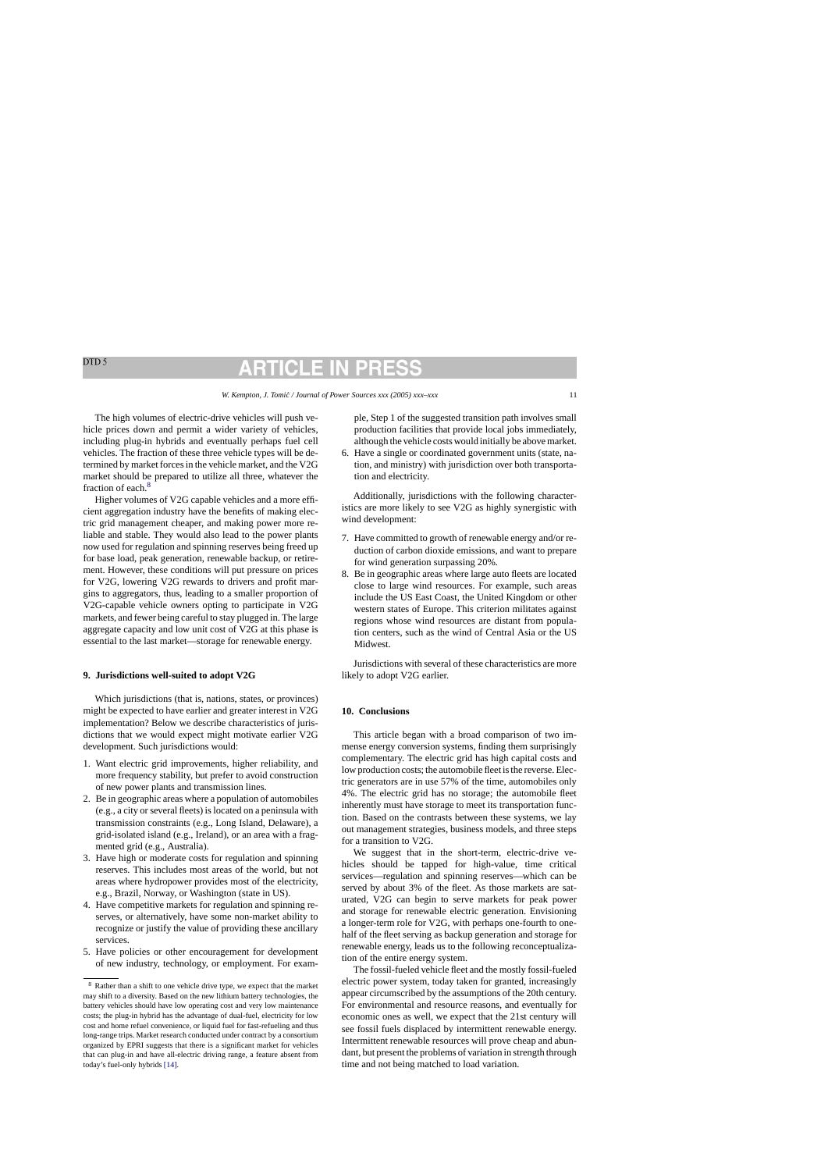The high volumes of electric-drive vehicles will push vehicle prices down and permit a wider variety of vehicles, including plug-in hybrids and eventually perhaps fuel cell vehicles. The fraction of these three vehicle types will be determined by market forces in the vehicle market, and the V2G market should be prepared to utilize all three, whatever the fraction of each.<sup>8</sup>

Higher volumes of V2G capable vehicles and a more efficient aggregation industry have the benefits of making electric grid management cheaper, and making power more reliable and stable. They would also lead to the power plants now used for regulation and spinning reserves being freed up for base load, peak generation, renewable backup, or retirement. However, these conditions will put pressure on prices for V2G, lowering V2G rewards to drivers and profit margins to aggregators, thus, leading to a smaller proportion of V2G-capable vehicle owners opting to participate in V2G markets, and fewer being careful to stay plugged in. The large aggregate capacity and low unit cost of V2G at this phase is essential to the last market—storage for renewable energy.

#### **9. Jurisdictions well-suited to adopt V2G**

Which jurisdictions (that is, nations, states, or provinces) might be expected to have earlier and greater interest in V2G implementation? Below we describe characteristics of jurisdictions that we would expect might motivate earlier V2G development. Such jurisdictions would:

- 1. Want electric grid improvements, higher reliability, and more frequency stability, but prefer to avoid construction of new power plants and transmission lines.
- 2. Be in geographic areas where a population of automobiles (e.g., a city or several fleets) is located on a peninsula with transmission constraints (e.g., Long Island, Delaware), a grid-isolated island (e.g., Ireland), or an area with a fragmented grid (e.g., Australia).
- 3. Have high or moderate costs for regulation and spinning reserves. This includes most areas of the world, but not areas where hydropower provides most of the electricity, e.g., Brazil, Norway, or Washington (state in US).
- 4. Have competitive markets for regulation and spinning reserves, or alternatively, have some non-market ability to recognize or justify the value of providing these ancillary services.
- 5. Have policies or other encouragement for development of new industry, technology, or employment. For exam-

ple, Step 1 of the suggested transition path involves small production facilities that provide local jobs immediately, although the vehicle costs would initially be above market.

6. Have a single or coordinated government units (state, nation, and ministry) with jurisdiction over both transportation and electricity.

Additionally, jurisdictions with the following characteristics are more likely to see V2G as highly synergistic with wind development:

- 7. Have committed to growth of renewable energy and/or reduction of carbon dioxide emissions, and want to prepare for wind generation surpassing 20%.
- 8. Be in geographic areas where large auto fleets are located close to large wind resources. For example, such areas include the US East Coast, the United Kingdom or other western states of Europe. This criterion militates against regions whose wind resources are distant from population centers, such as the wind of Central Asia or the US Midwest.

Jurisdictions with several of these characteristics are more likely to adopt V2G earlier.

### **10. Conclusions**

This article began with a broad comparison of two immense energy conversion systems, finding them surprisingly complementary. The electric grid has high capital costs and low production costs; the automobile fleet is the reverse. Electric generators are in use 57% of the time, automobiles only 4%. The electric grid has no storage; the automobile fleet inherently must have storage to meet its transportation function. Based on the contrasts between these systems, we lay out management strategies, business models, and three steps for a transition to V2G.

We suggest that in the short-term, electric-drive vehicles should be tapped for high-value, time critical services—regulation and spinning reserves—which can be served by about 3% of the fleet. As those markets are saturated, V2G can begin to serve markets for peak power and storage for renewable electric generation. Envisioning a longer-term role for V2G, with perhaps one-fourth to onehalf of the fleet serving as backup generation and storage for renewable energy, leads us to the following reconceptualization of the entire energy system.

The fossil-fueled vehicle fleet and the mostly fossil-fueled electric power system, today taken for granted, increasingly appear circumscribed by the assumptions of the 20th century. For environmental and resource reasons, and eventually for economic ones as well, we expect that the 21st century will see fossil fuels displaced by intermittent renewable energy. Intermittent renewable resources will prove cheap and abundant, but present the problems of variation in strength through time and not being matched to load variation.

<sup>8</sup> Rather than a shift to one vehicle drive type, we expect that the market may shift to a diversity. Based on the new lithium battery technologies, the battery vehicles should have low operating cost and very low maintenance costs; the plug-in hybrid has the advantage of dual-fuel, electricity for low cost and home refuel convenience, or liquid fuel for fast-refueling and thus long-range trips. Market research conducted under contract by a consortium organized by EPRI suggests that there is a significant market for vehicles that can plug-in and have all-electric driving range, a feature absent from today's fuel-only hybrids [\[14\].](#page-13-0)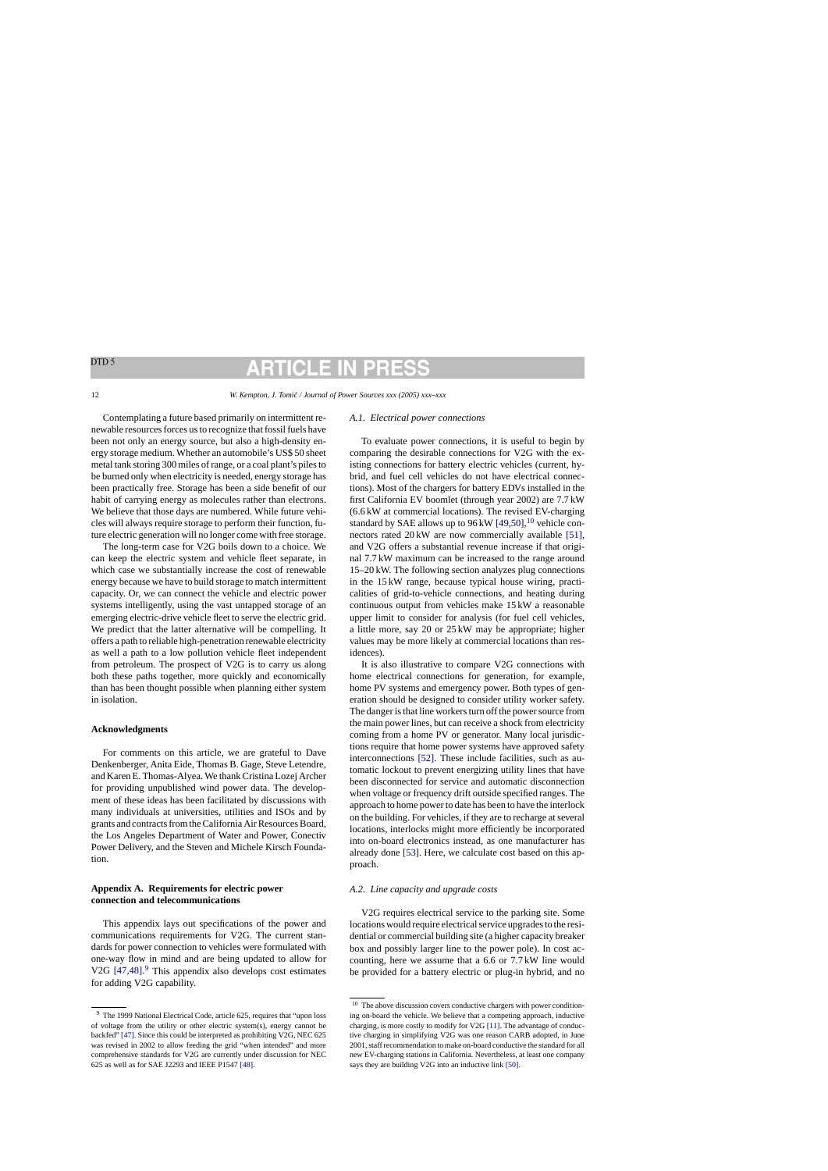# CT.

<span id="page-11-0"></span>12 *W. Kempton, J. Tomi´c / Journal of Power Sources xxx (2005) xxx–xxx*

Contemplating a future based primarily on intermittent renewable resources forces us to recognize that fossil fuels have been not only an energy source, but also a high-density energy storage medium. Whether an automobile's US\$ 50 sheet metal tank storing 300 miles of range, or a coal plant's piles to be burned only when electricity is needed, energy storage has been practically free. Storage has been a side benefit of our habit of carrying energy as molecules rather than electrons. We believe that those days are numbered. While future vehicles will always require storage to perform their function, future electric generation will no longer come with free storage.

The long-term case for V2G boils down to a choice. We can keep the electric system and vehicle fleet separate, in which case we substantially increase the cost of renewable energy because we have to build storage to match intermittent capacity. Or, we can connect the vehicle and electric power systems intelligently, using the vast untapped storage of an emerging electric-drive vehicle fleet to serve the electric grid. We predict that the latter alternative will be compelling. It offers a path to reliable high-penetration renewable electricity as well a path to a low pollution vehicle fleet independent from petroleum. The prospect of V2G is to carry us along both these paths together, more quickly and economically than has been thought possible when planning either system in isolation.

#### **Acknowledgments**

For comments on this article, we are grateful to Dave Denkenberger, Anita Eide, Thomas B. Gage, Steve Letendre, and Karen E. Thomas-Alyea. We thank Cristina Lozej Archer for providing unpublished wind power data. The development of these ideas has been facilitated by discussions with many individuals at universities, utilities and ISOs and by grants and contracts from the California Air Resources Board, the Los Angeles Department of Water and Power, Conectiv Power Delivery, and the Steven and Michele Kirsch Foundation.

### **Appendix A. Requirements for electric power connection and telecommunications**

This appendix lays out specifications of the power and communications requirements for V2G. The current standards for power connection to vehicles were formulated with one-way flow in mind and are being updated to allow for V2G [\[47,48\].](#page-14-0) <sup>9</sup> This appendix also develops cost estimates for adding V2G capability.

#### *A.1. Electrical power connections*

To evaluate power connections, it is useful to begin by comparing the desirable connections for V2G with the existing connections for battery electric vehicles (current, hybrid, and fuel cell vehicles do not have electrical connections). Most of the chargers for battery EDVs installed in the first California EV boomlet (through year 2002) are 7.7 kW (6.6 kW at commercial locations). The revised EV-charging standard by SAE allows up to  $96 \text{ kW}$  [\[49,50\],](#page-14-0) <sup>10</sup> vehicle connectors rated 20 kW are now commercially available [\[51\],](#page-14-0) and V2G offers a substantial revenue increase if that original 7.7 kW maximum can be increased to the range around 15–20 kW. The following section analyzes plug connections in the 15 kW range, because typical house wiring, practicalities of grid-to-vehicle connections, and heating during continuous output from vehicles make 15 kW a reasonable upper limit to consider for analysis (for fuel cell vehicles, a little more, say 20 or 25 kW may be appropriate; higher values may be more likely at commercial locations than residences).

It is also illustrative to compare V2G connections with home electrical connections for generation, for example, home PV systems and emergency power. Both types of generation should be designed to consider utility worker safety. The danger is that line workers turn off the power source from the main power lines, but can receive a shock from electricity coming from a home PV or generator. Many local jurisdictions require that home power systems have approved safety interconnections [\[52\].](#page-14-0) These include facilities, such as automatic lockout to prevent energizing utility lines that have been disconnected for service and automatic disconnection when voltage or frequency drift outside specified ranges. The approach to home power to date has been to have the interlock on the building. For vehicles, if they are to recharge at several locations, interlocks might more efficiently be incorporated into on-board electronics instead, as one manufacturer has already done [\[53\].](#page-14-0) Here, we calculate cost based on this approach.

### *A.2. Line capacity and upgrade costs*

V2G requires electrical service to the parking site. Some locations would require electrical service upgrades to the residential or commercial building site (a higher capacity breaker box and possibly larger line to the power pole). In cost accounting, here we assume that a 6.6 or 7.7 kW line would be provided for a battery electric or plug-in hybrid, and no

<sup>&</sup>lt;sup>9</sup> The 1999 National Electrical Code, article 625, requires that "upon loss of voltage from the utility or other electric system(s), energy cannot be backfed" [\[47\]. S](#page-14-0)ince this could be interpreted as prohibiting V2G, NEC 625 was revised in 2002 to allow feeding the grid "when intended" and more comprehensive standards for V2G are currently under discussion for NEC 625 as well as for SAE J2293 and IEEE P1547 [\[48\].](#page-14-0)

<sup>10</sup> The above discussion covers conductive chargers with power conditioning on-board the vehicle. We believe that a competing approach, inductive charging, is more costly to modify for V2G [\[11\]. T](#page-13-0)he advantage of conductive charging in simplifying V2G was one reason CARB adopted, in June 2001, staff recommendation to make on-board conductive the standard for all new EV-charging stations in California. Nevertheless, at least one company says they are building V2G into an inductive link [\[50\].](#page-14-0)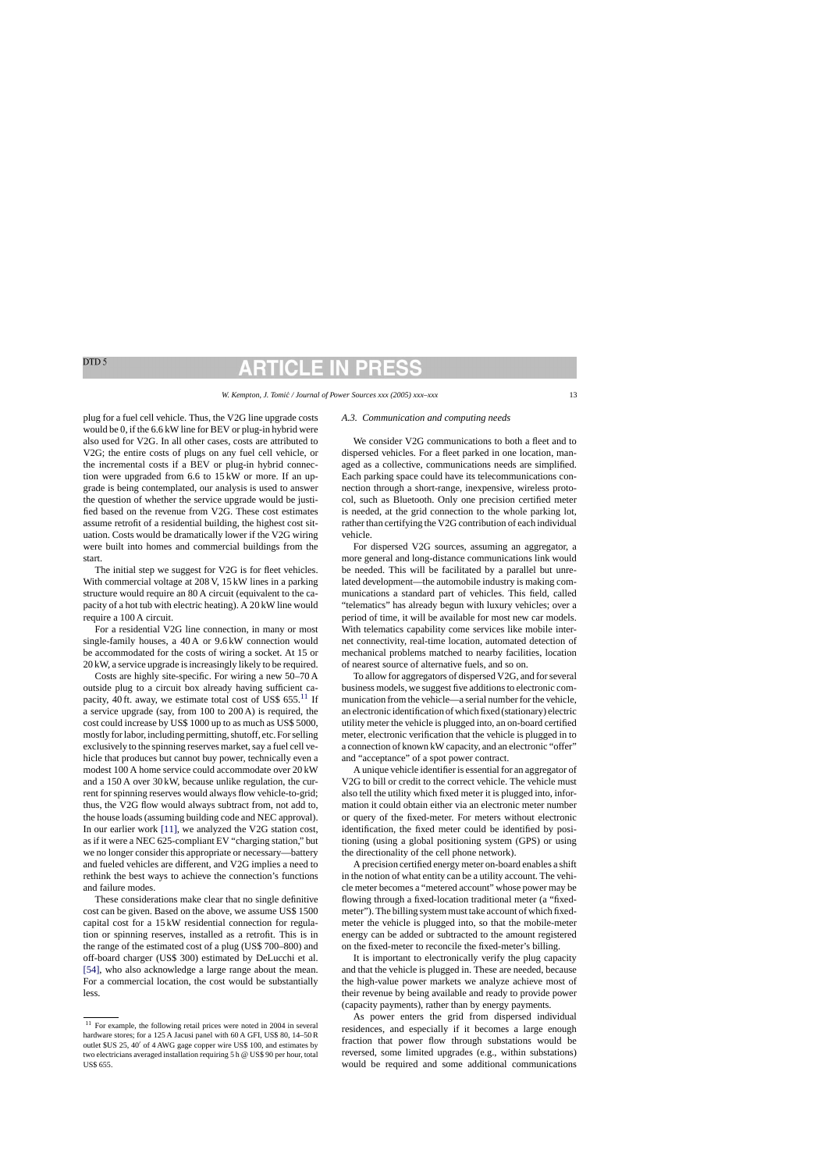plug for a fuel cell vehicle. Thus, the V2G line upgrade costs would be 0, if the 6.6 kW line for BEV or plug-in hybrid were also used for V2G. In all other cases, costs are attributed to V2G; the entire costs of plugs on any fuel cell vehicle, or the incremental costs if a BEV or plug-in hybrid connection were upgraded from 6.6 to 15 kW or more. If an upgrade is being contemplated, our analysis is used to answer the question of whether the service upgrade would be justified based on the revenue from V2G. These cost estimates assume retrofit of a residential building, the highest cost situation. Costs would be dramatically lower if the V2G wiring were built into homes and commercial buildings from the start.

The initial step we suggest for V2G is for fleet vehicles. With commercial voltage at 208 V, 15 kW lines in a parking structure would require an 80 A circuit (equivalent to the capacity of a hot tub with electric heating). A 20 kW line would require a 100 A circuit.

For a residential V2G line connection, in many or most single-family houses, a 40 A or 9.6 kW connection would be accommodated for the costs of wiring a socket. At 15 or 20 kW, a service upgrade is increasingly likely to be required.

Costs are highly site-specific. For wiring a new 50–70 A outside plug to a circuit box already having sufficient capacity, 40 ft. away, we estimate total cost of US\$  $655$ .<sup>11</sup> If a service upgrade (say, from 100 to 200 A) is required, the cost could increase by US\$ 1000 up to as much as US\$ 5000, mostly for labor, including permitting, shutoff, etc. For selling exclusively to the spinning reserves market, say a fuel cell vehicle that produces but cannot buy power, technically even a modest 100 A home service could accommodate over 20 kW and a 150 A over 30 kW, because unlike regulation, the current for spinning reserves would always flow vehicle-to-grid; thus, the V2G flow would always subtract from, not add to, the house loads (assuming building code and NEC approval). In our earlier work [\[11\],](#page-13-0) we analyzed the V2G station cost, as if it were a NEC 625-compliant EV "charging station," but we no longer consider this appropriate or necessary—battery and fueled vehicles are different, and V2G implies a need to rethink the best ways to achieve the connection's functions and failure modes.

These considerations make clear that no single definitive cost can be given. Based on the above, we assume US\$ 1500 capital cost for a 15 kW residential connection for regulation or spinning reserves, installed as a retrofit. This is in the range of the estimated cost of a plug (US\$ 700–800) and off-board charger (US\$ 300) estimated by DeLucchi et al. [\[54\],](#page-14-0) who also acknowledge a large range about the mean. For a commercial location, the cost would be substantially less.

#### *A.3. Communication and computing needs*

We consider V2G communications to both a fleet and to dispersed vehicles. For a fleet parked in one location, managed as a collective, communications needs are simplified. Each parking space could have its telecommunications connection through a short-range, inexpensive, wireless protocol, such as Bluetooth. Only one precision certified meter is needed, at the grid connection to the whole parking lot, rather than certifying the V2G contribution of each individual vehicle.

For dispersed V2G sources, assuming an aggregator, a more general and long-distance communications link would be needed. This will be facilitated by a parallel but unrelated development—the automobile industry is making communications a standard part of vehicles. This field, called "telematics" has already begun with luxury vehicles; over a period of time, it will be available for most new car models. With telematics capability come services like mobile internet connectivity, real-time location, automated detection of mechanical problems matched to nearby facilities, location of nearest source of alternative fuels, and so on.

To allow for aggregators of dispersed V2G, and for several business models, we suggest five additions to electronic communication from the vehicle—a serial number for the vehicle, an electronic identification of which fixed (stationary) electric utility meter the vehicle is plugged into, an on-board certified meter, electronic verification that the vehicle is plugged in to a connection of known kW capacity, and an electronic "offer" and "acceptance" of a spot power contract.

A unique vehicle identifier is essential for an aggregator of V2G to bill or credit to the correct vehicle. The vehicle must also tell the utility which fixed meter it is plugged into, information it could obtain either via an electronic meter number or query of the fixed-meter. For meters without electronic identification, the fixed meter could be identified by positioning (using a global positioning system (GPS) or using the directionality of the cell phone network).

A precision certified energy meter on-board enables a shift in the notion of what entity can be a utility account. The vehicle meter becomes a "metered account" whose power may be flowing through a fixed-location traditional meter (a "fixedmeter"). The billing system must take account of which fixedmeter the vehicle is plugged into, so that the mobile-meter energy can be added or subtracted to the amount registered on the fixed-meter to reconcile the fixed-meter's billing.

It is important to electronically verify the plug capacity and that the vehicle is plugged in. These are needed, because the high-value power markets we analyze achieve most of their revenue by being available and ready to provide power (capacity payments), rather than by energy payments.

As power enters the grid from dispersed individual residences, and especially if it becomes a large enough fraction that power flow through substations would be reversed, some limited upgrades (e.g., within substations) would be required and some additional communications

<sup>&</sup>lt;sup>11</sup> For example, the following retail prices were noted in 2004 in several hardware stores; for a 125 A Jacusi panel with 60 A GFI, US\$ 80, 14–50 R outlet \$US 25, 40' of 4 AWG gage copper wire US\$ 100, and estimates by two electricians averaged installation requiring 5 h @ US\$ 90 per hour, total US\$ 655.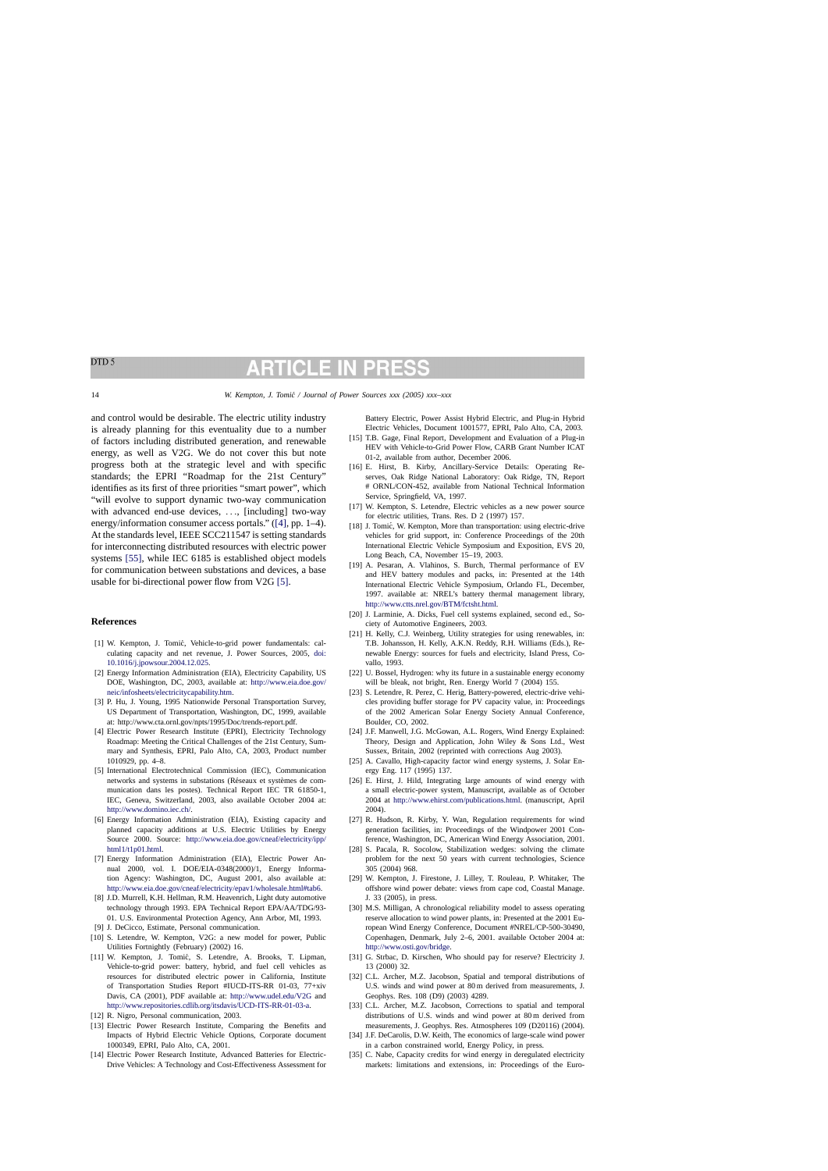# TICLE IN

<span id="page-13-0"></span>and control would be desirable. The electric utility industry is already planning for this eventuality due to a number of factors including distributed generation, and renewable energy, as well as V2G. We do not cover this but note progress both at the strategic level and with specific standards; the EPRI "Roadmap for the 21st Century" identifies as its first of three priorities "smart power", which "will evolve to support dynamic two-way communication with advanced end-use devices, ..., [including] two-way energy/information consumer access portals." ([4], pp. 1–4). At the standards level, IEEE SCC211547 is setting standards for interconnecting distributed resources with electric power systems [\[55\],](#page-14-0) while IEC 6185 is established object models for communication between substations and devices, a base usable for bi-directional power flow from V2G [5].

### **References**

- [1] W. Kempton, J. Tomić, Vehicle-to-grid power fundamentals: calculating capacity and net revenue, J. Power Sources, 2005, [doi:](http://dx.doi.org/10.1016/j.jpowsour.2004.12.025) [10.1016/j.jpowsour.2004.12.025](http://dx.doi.org/10.1016/j.jpowsour.2004.12.025).
- [2] Energy Information Administration (EIA), Electricity Capability, US DOE, Washington, DC, 2003, available at: [http://www.eia.doe.gov/](http://www.eia.doe.gov/neic/infosheets/electricitycapability.htm) [neic/infosheets/electricitycapability.htm](http://www.eia.doe.gov/neic/infosheets/electricitycapability.htm).
- [3] P. Hu, J. Young, 1995 Nationwide Personal Transportation Survey, US Department of Transportation, Washington, DC, 1999, available at: http://www.cta.ornl.gov/npts/1995/Doc/trends-report.pdf.
- [4] Electric Power Research Institute (EPRI), Electricity Technology Roadmap: Meeting the Critical Challenges of the 21st Century, Summary and Synthesis, EPRI, Palo Alto, CA, 2003, Product number 1010929, pp. 4–8.
- [5] International Electrotechnical Commission (IEC), Communication networks and systems in substations (Réseaux et systèmes de communication dans les postes). Technical Report IEC TR 61850-1, IEC, Geneva, Switzerland, 2003, also available October 2004 at: <http://www.domino.iec.ch/>.
- [6] Energy Information Administration (EIA), Existing capacity and planned capacity additions at U.S. Electric Utilities by Energy Source 2000. Source: [http://www.eia.doe.gov/cneaf/electricity/ipp/](http://www.eia.doe.gov/cneaf/electricity/ipp/html1/t1p01.html) [html1/t1p01.html](http://www.eia.doe.gov/cneaf/electricity/ipp/html1/t1p01.html).
- [7] Energy Information Administration (EIA), Electric Power Annual 2000, vol. I. DOE/EIA-0348(2000)/1, Energy Information Agency: Washington, DC, August 2001, also available at: [http://www.eia.doe.gov/cneaf/electricity/epav1/wholesale.html#tab6](http://www.eia.doe.gov/cneaf/electricity/epav1/wholesale.html).
- [8] J.D. Murrell, K.H. Hellman, R.M. Heavenrich, Light duty automotive technology through 1993. EPA Technical Report EPA/AA/TDG/93- 01. U.S. Environmental Protection Agency, Ann Arbor, MI, 1993.
- [9] J. DeCicco, Estimate, Personal communication.
- [10] S. Letendre, W. Kempton, V2G: a new model for power, Public Utilities Fortnightly (February) (2002) 16.
- [11] W. Kempton, J. Tomić, S. Letendre, A. Brooks, T. Lipman, Vehicle-to-grid power: battery, hybrid, and fuel cell vehicles as resources for distributed electric power in California, Institute of Transportation Studies Report #IUCD-ITS-RR 01-03, 77+xiv Davis, CA (2001), PDF available at: [http://www.udel.edu/V2G](http://www.udel.edu/v2g) and [http://www.repositories.cdlib.org/itsdavis/UCD-ITS-RR-01-03-a.](http://www.repositories.cdlib.org/itsdavis/ucd-its-rr-01-03-a)
- [12] R. Nigro, Personal communication, 2003.
- [13] Electric Power Research Institute, Comparing the Benefits and Impacts of Hybrid Electric Vehicle Options, Corporate document 1000349, EPRI, Palo Alto, CA, 2001.
- [14] Electric Power Research Institute, Advanced Batteries for Electric-Drive Vehicles: A Technology and Cost-Effectiveness Assessment for

Battery Electric, Power Assist Hybrid Electric, and Plug-in Hybrid Electric Vehicles, Document 1001577, EPRI, Palo Alto, CA, 2003.

- [15] T.B. Gage, Final Report, Development and Evaluation of a Plug-in HEV with Vehicle-to-Grid Power Flow, CARB Grant Number ICAT 01-2, available from author, December 2006.
- [16] E. Hirst, B. Kirby, Ancillary-Service Details: Operating Reserves, Oak Ridge National Laboratory: Oak Ridge, TN, Report # ORNL/CON-452, available from National Technical Information Service, Springfield, VA, 1997.
- [17] W. Kempton, S. Letendre, Electric vehicles as a new power source for electric utilities, Trans. Res. D 2 (1997) 157.
- [18] J. Tomić, W. Kempton, More than transportation: using electric-drive vehicles for grid support, in: Conference Proceedings of the 20th International Electric Vehicle Symposium and Exposition, EVS 20, Long Beach, CA, November 15–19, 2003.
- [19] A. Pesaran, A. Vlahinos, S. Burch, Thermal performance of EV and HEV battery modules and packs, in: Presented at the 14th International Electric Vehicle Symposium, Orlando FL, December, 1997. available at: NREL's battery thermal management library, [http://www.ctts.nrel.gov/BTM/fctsht.html.](http://www.ctts.nrel.gov/btm/fctsht.html)
- [20] J. Larminie, A. Dicks, Fuel cell systems explained, second ed., Society of Automotive Engineers, 2003.
- [21] H. Kelly, C.J. Weinberg, Utility strategies for using renewables, in: T.B. Johansson, H. Kelly, A.K.N. Reddy, R.H. Williams (Eds.), Renewable Energy: sources for fuels and electricity, Island Press, Covallo, 1993.
- [22] U. Bossel, Hydrogen: why its future in a sustainable energy economy will be bleak, not bright, Ren. Energy World 7 (2004) 155.
- [23] S. Letendre, R. Perez, C. Herig, Battery-powered, electric-drive vehicles providing buffer storage for PV capacity value, in: Proceedings of the 2002 American Solar Energy Society Annual Conference, Boulder, CO, 2002.
- [24] J.F. Manwell, J.G. McGowan, A.L. Rogers, Wind Energy Explained: Theory, Design and Application, John Wiley & Sons Ltd., West Sussex, Britain, 2002 (reprinted with corrections Aug 2003).
- [25] A. Cavallo, High-capacity factor wind energy systems, J. Solar Energy Eng. 117 (1995) 137.
- [26] E. Hirst, J. Hild, Integrating large amounts of wind energy with a small electric-power system, Manuscript, available as of October 2004 at <http://www.ehirst.com/publications.html>. (manuscript, April 2004).
- [27] R. Hudson, R. Kirby, Y. Wan, Regulation requirements for wind generation facilities, in: Proceedings of the Windpower 2001 Conference, Washington, DC, American Wind Energy Association, 2001.
- [28] S. Pacala, R. Socolow, Stabilization wedges: solving the climate problem for the next 50 years with current technologies, Science 305 (2004) 968.
- [29] W. Kempton, J. Firestone, J. Lilley, T. Rouleau, P. Whitaker, The offshore wind power debate: views from cape cod, Coastal Manage. J. 33 (2005), in press.
- [30] M.S. Milligan, A chronological reliability model to assess operating reserve allocation to wind power plants, in: Presented at the 2001 European Wind Energy Conference, Document #NREL/CP-500-30490, Copenhagen, Denmark, July 2–6, 2001. available October 2004 at: [http://www.osti.gov/bridge.](http://www.osti.gov/bridge)
- [31] G. Strbac, D. Kirschen, Who should pay for reserve? Electricity J. 13 (2000) 32.
- [32] C.L. Archer, M.Z. Jacobson, Spatial and temporal distributions of U.S. winds and wind power at 80 m derived from measurements, J. Geophys. Res. 108 (D9) (2003) 4289.
- [33] C.L. Archer, M.Z. Jacobson, Corrections to spatial and temporal distributions of U.S. winds and wind power at 80 m derived from measurements, J. Geophys. Res. Atmospheres 109 (D20116) (2004).
- [34] J.F. DeCarolis, D.W. Keith, The economics of large-scale wind power in a carbon constrained world, Energy Policy, in press.
- [35] C. Nabe, Capacity credits for wind energy in deregulated electricity markets: limitations and extensions, in: Proceedings of the Euro-